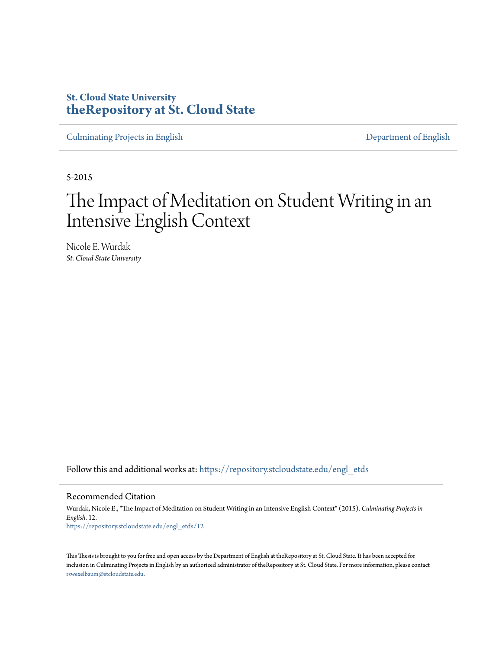## **St. Cloud State University [theRepository at St. Cloud State](https://repository.stcloudstate.edu?utm_source=repository.stcloudstate.edu%2Fengl_etds%2F12&utm_medium=PDF&utm_campaign=PDFCoverPages)**

[Culminating Projects in English](https://repository.stcloudstate.edu/engl_etds?utm_source=repository.stcloudstate.edu%2Fengl_etds%2F12&utm_medium=PDF&utm_campaign=PDFCoverPages) [Department of English](https://repository.stcloudstate.edu/engl?utm_source=repository.stcloudstate.edu%2Fengl_etds%2F12&utm_medium=PDF&utm_campaign=PDFCoverPages)

5-2015

# The Impact of Meditation on Student Writing in an Intensive English Context

Nicole E. Wurdak *St. Cloud State University*

Follow this and additional works at: [https://repository.stcloudstate.edu/engl\\_etds](https://repository.stcloudstate.edu/engl_etds?utm_source=repository.stcloudstate.edu%2Fengl_etds%2F12&utm_medium=PDF&utm_campaign=PDFCoverPages)

#### Recommended Citation

Wurdak, Nicole E., "The Impact of Meditation on Student Writing in an Intensive English Context" (2015). *Culminating Projects in English*. 12. [https://repository.stcloudstate.edu/engl\\_etds/12](https://repository.stcloudstate.edu/engl_etds/12?utm_source=repository.stcloudstate.edu%2Fengl_etds%2F12&utm_medium=PDF&utm_campaign=PDFCoverPages)

This Thesis is brought to you for free and open access by the Department of English at theRepository at St. Cloud State. It has been accepted for inclusion in Culminating Projects in English by an authorized administrator of theRepository at St. Cloud State. For more information, please contact [rswexelbaum@stcloudstate.edu](mailto:rswexelbaum@stcloudstate.edu).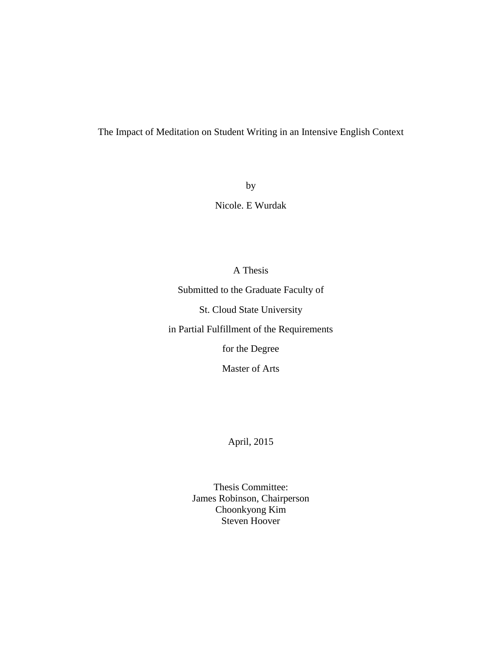## The Impact of Meditation on Student Writing in an Intensive English Context

by

Nicole. E Wurdak

A Thesis

Submitted to the Graduate Faculty of

St. Cloud State University

in Partial Fulfillment of the Requirements

for the Degree

Master of Arts

April, 2015

Thesis Committee: James Robinson, Chairperson Choonkyong Kim Steven Hoover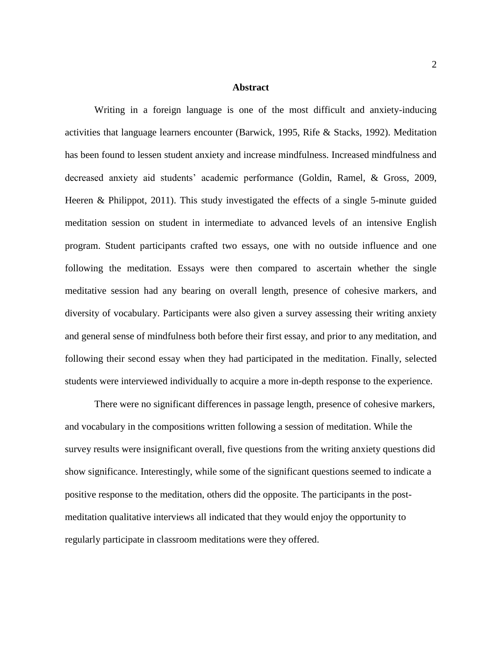#### **Abstract**

Writing in a foreign language is one of the most difficult and anxiety-inducing activities that language learners encounter (Barwick, 1995, Rife & Stacks, 1992). Meditation has been found to lessen student anxiety and increase mindfulness. Increased mindfulness and decreased anxiety aid students' academic performance (Goldin, Ramel, & Gross, 2009, Heeren & Philippot, 2011). This study investigated the effects of a single 5-minute guided meditation session on student in intermediate to advanced levels of an intensive English program. Student participants crafted two essays, one with no outside influence and one following the meditation. Essays were then compared to ascertain whether the single meditative session had any bearing on overall length, presence of cohesive markers, and diversity of vocabulary. Participants were also given a survey assessing their writing anxiety and general sense of mindfulness both before their first essay, and prior to any meditation, and following their second essay when they had participated in the meditation. Finally, selected students were interviewed individually to acquire a more in-depth response to the experience.

There were no significant differences in passage length, presence of cohesive markers, and vocabulary in the compositions written following a session of meditation. While the survey results were insignificant overall, five questions from the writing anxiety questions did show significance. Interestingly, while some of the significant questions seemed to indicate a positive response to the meditation, others did the opposite. The participants in the postmeditation qualitative interviews all indicated that they would enjoy the opportunity to regularly participate in classroom meditations were they offered.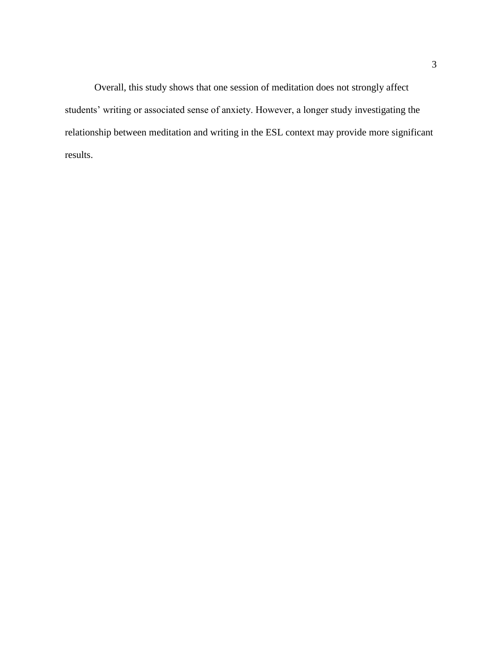Overall, this study shows that one session of meditation does not strongly affect students' writing or associated sense of anxiety. However, a longer study investigating the relationship between meditation and writing in the ESL context may provide more significant results.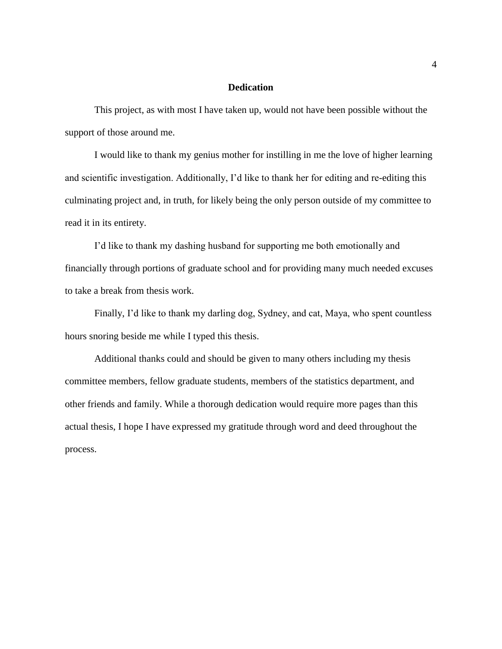#### **Dedication**

This project, as with most I have taken up, would not have been possible without the support of those around me.

I would like to thank my genius mother for instilling in me the love of higher learning and scientific investigation. Additionally, I'd like to thank her for editing and re-editing this culminating project and, in truth, for likely being the only person outside of my committee to read it in its entirety.

I'd like to thank my dashing husband for supporting me both emotionally and financially through portions of graduate school and for providing many much needed excuses to take a break from thesis work.

Finally, I'd like to thank my darling dog, Sydney, and cat, Maya, who spent countless hours snoring beside me while I typed this thesis.

Additional thanks could and should be given to many others including my thesis committee members, fellow graduate students, members of the statistics department, and other friends and family. While a thorough dedication would require more pages than this actual thesis, I hope I have expressed my gratitude through word and deed throughout the process.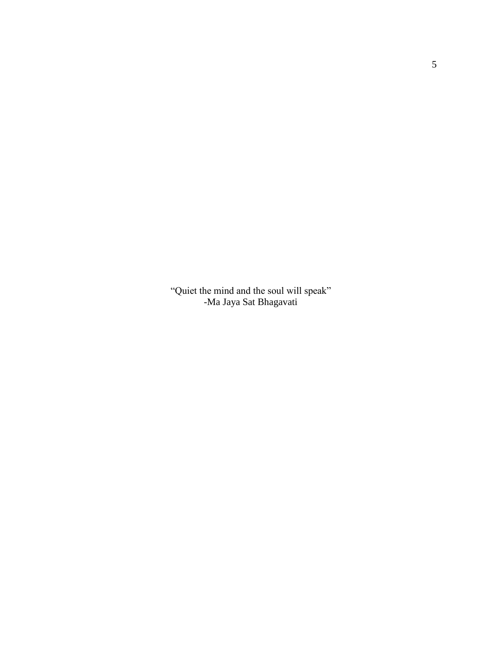"Quiet the mind and the soul will speak" -Ma Jaya Sat Bhagavati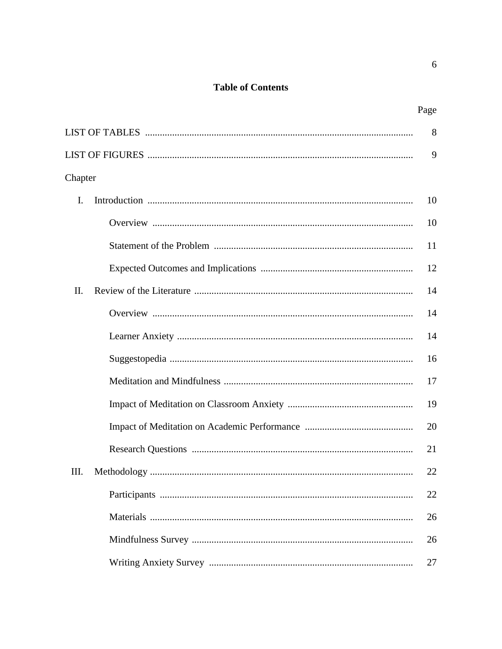## **Table of Contents**

|                | 8  |
|----------------|----|
|                | 9  |
| Chapter        |    |
| $\mathbf{I}$ . | 10 |
|                | 10 |
|                | 11 |
|                | 12 |
| II.            | 14 |
|                | 14 |
|                | 14 |
|                | 16 |
|                | 17 |
|                | 19 |
|                | 20 |
|                | 21 |
| Ш.             | 22 |
|                | 22 |
|                | 26 |
|                | 26 |
|                | 27 |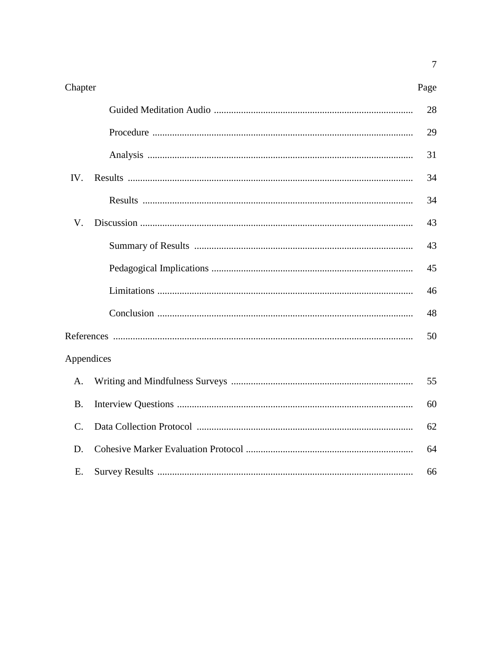| Chapter     | Page |
|-------------|------|
|             | 28   |
|             | 29   |
|             | 31   |
| IV.         | 34   |
|             | 34   |
| V.          | 43   |
|             | 43   |
|             | 45   |
|             | 46   |
|             | 48   |
|             | 50   |
| Appendices  |      |
| A.          | 55   |
| <b>B.</b>   | 60   |
| $C_{\cdot}$ | 62   |
| D.          | 64   |
| Ε.          | 66   |

 $\overline{7}$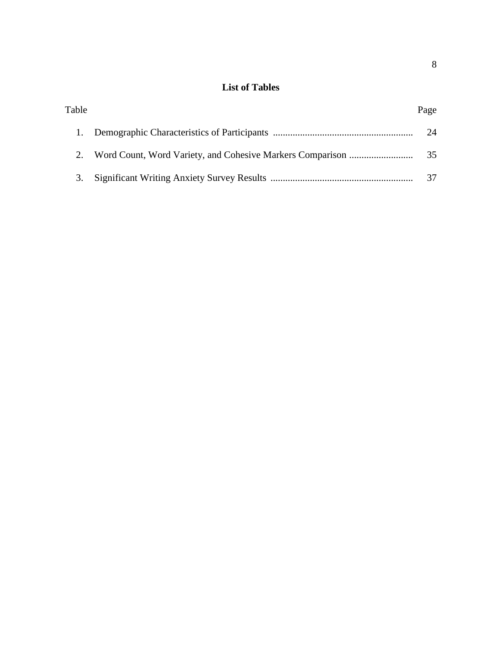## **List of Tables**

| Table | Page |
|-------|------|
|       | 24   |
|       | 35   |
| 3.    | 37   |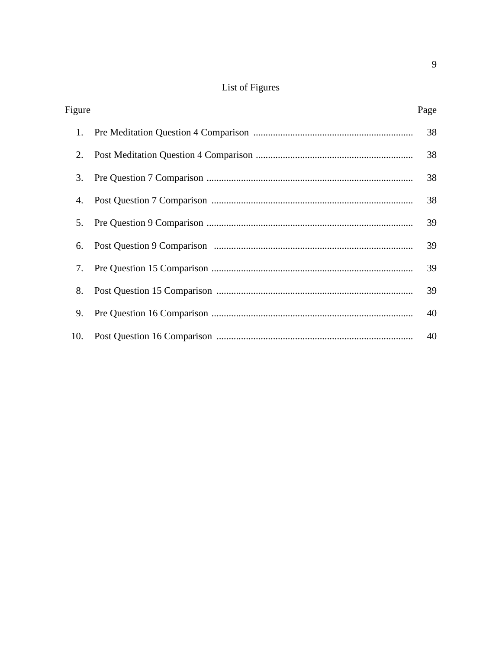## List of Figures

| Figure | Page |
|--------|------|
| 1.     | 38   |
| 2.     | 38   |
| 3.     | 38   |
| 4.     | 38   |
| 5.     | 39   |
| 6.     | 39   |
| 7.     | 39   |
| 8.     | 39   |
| 9.     | 40   |
| 10.    | 40   |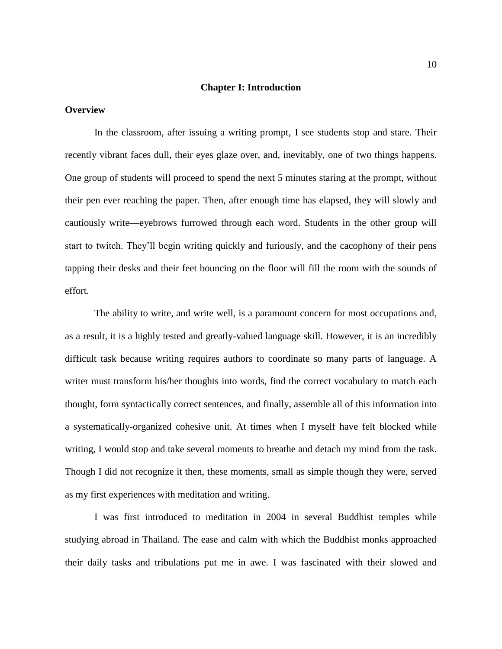#### **Chapter I: Introduction**

#### **Overview**

In the classroom, after issuing a writing prompt, I see students stop and stare. Their recently vibrant faces dull, their eyes glaze over, and, inevitably, one of two things happens. One group of students will proceed to spend the next 5 minutes staring at the prompt, without their pen ever reaching the paper. Then, after enough time has elapsed, they will slowly and cautiously write—eyebrows furrowed through each word. Students in the other group will start to twitch. They'll begin writing quickly and furiously, and the cacophony of their pens tapping their desks and their feet bouncing on the floor will fill the room with the sounds of effort.

The ability to write, and write well, is a paramount concern for most occupations and, as a result, it is a highly tested and greatly-valued language skill. However, it is an incredibly difficult task because writing requires authors to coordinate so many parts of language. A writer must transform his/her thoughts into words, find the correct vocabulary to match each thought, form syntactically correct sentences, and finally, assemble all of this information into a systematically-organized cohesive unit. At times when I myself have felt blocked while writing, I would stop and take several moments to breathe and detach my mind from the task. Though I did not recognize it then, these moments, small as simple though they were, served as my first experiences with meditation and writing.

I was first introduced to meditation in 2004 in several Buddhist temples while studying abroad in Thailand. The ease and calm with which the Buddhist monks approached their daily tasks and tribulations put me in awe. I was fascinated with their slowed and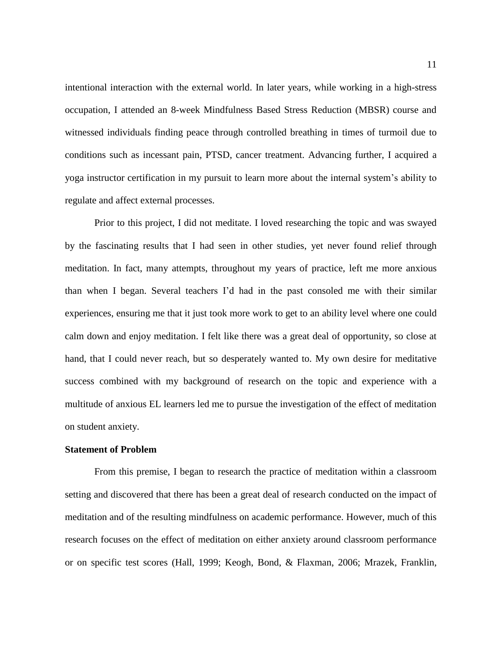intentional interaction with the external world. In later years, while working in a high-stress occupation, I attended an 8-week Mindfulness Based Stress Reduction (MBSR) course and witnessed individuals finding peace through controlled breathing in times of turmoil due to conditions such as incessant pain, PTSD, cancer treatment. Advancing further, I acquired a yoga instructor certification in my pursuit to learn more about the internal system's ability to regulate and affect external processes.

Prior to this project, I did not meditate. I loved researching the topic and was swayed by the fascinating results that I had seen in other studies, yet never found relief through meditation. In fact, many attempts, throughout my years of practice, left me more anxious than when I began. Several teachers I'd had in the past consoled me with their similar experiences, ensuring me that it just took more work to get to an ability level where one could calm down and enjoy meditation. I felt like there was a great deal of opportunity, so close at hand, that I could never reach, but so desperately wanted to. My own desire for meditative success combined with my background of research on the topic and experience with a multitude of anxious EL learners led me to pursue the investigation of the effect of meditation on student anxiety.

#### **Statement of Problem**

From this premise, I began to research the practice of meditation within a classroom setting and discovered that there has been a great deal of research conducted on the impact of meditation and of the resulting mindfulness on academic performance. However, much of this research focuses on the effect of meditation on either anxiety around classroom performance or on specific test scores (Hall, 1999; Keogh, Bond, & Flaxman, 2006; Mrazek, Franklin,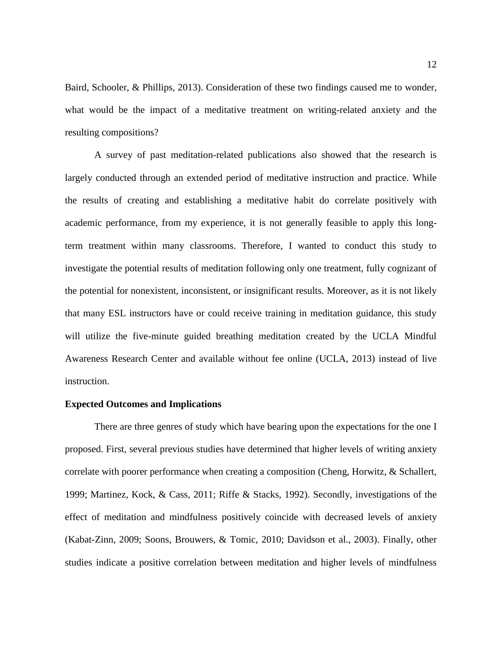Baird, Schooler, & Phillips, 2013). Consideration of these two findings caused me to wonder, what would be the impact of a meditative treatment on writing-related anxiety and the resulting compositions?

A survey of past meditation-related publications also showed that the research is largely conducted through an extended period of meditative instruction and practice. While the results of creating and establishing a meditative habit do correlate positively with academic performance, from my experience, it is not generally feasible to apply this longterm treatment within many classrooms. Therefore, I wanted to conduct this study to investigate the potential results of meditation following only one treatment, fully cognizant of the potential for nonexistent, inconsistent, or insignificant results. Moreover, as it is not likely that many ESL instructors have or could receive training in meditation guidance, this study will utilize the five-minute guided breathing meditation created by the UCLA Mindful Awareness Research Center and available without fee online (UCLA, 2013) instead of live instruction.

#### **Expected Outcomes and Implications**

There are three genres of study which have bearing upon the expectations for the one I proposed. First, several previous studies have determined that higher levels of writing anxiety correlate with poorer performance when creating a composition (Cheng, Horwitz, & Schallert, 1999; Martinez, Kock, & Cass, 2011; Riffe & Stacks, 1992). Secondly, investigations of the effect of meditation and mindfulness positively coincide with decreased levels of anxiety (Kabat-Zinn, 2009; Soons, Brouwers, & Tomic, 2010; Davidson et al., 2003). Finally, other studies indicate a positive correlation between meditation and higher levels of mindfulness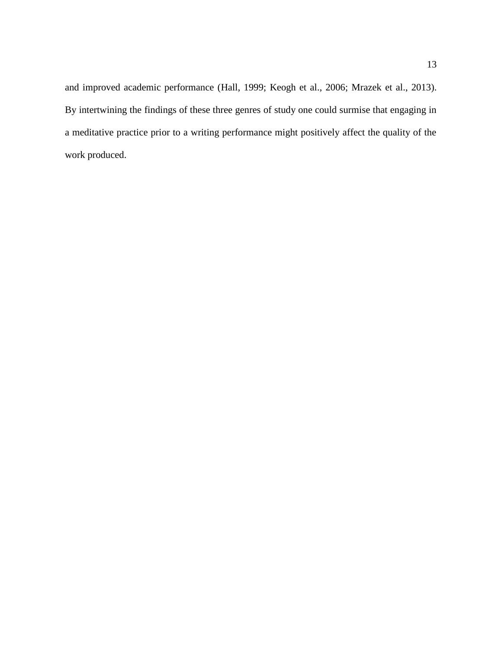and improved academic performance (Hall, 1999; Keogh et al., 2006; Mrazek et al., 2013). By intertwining the findings of these three genres of study one could surmise that engaging in a meditative practice prior to a writing performance might positively affect the quality of the work produced.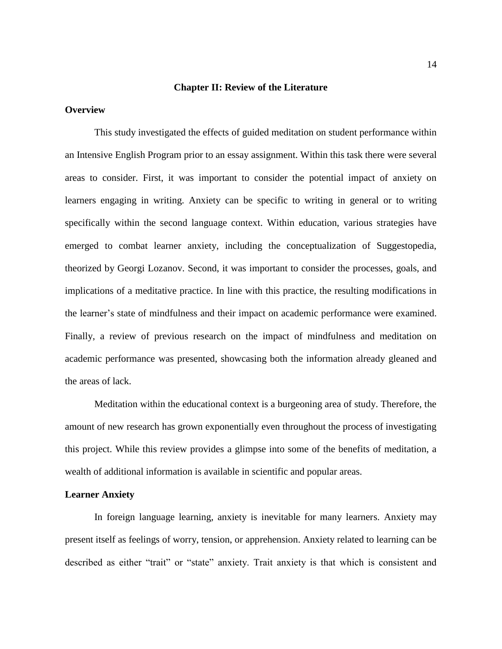#### **Chapter II: Review of the Literature**

#### **Overview**

This study investigated the effects of guided meditation on student performance within an Intensive English Program prior to an essay assignment. Within this task there were several areas to consider. First, it was important to consider the potential impact of anxiety on learners engaging in writing. Anxiety can be specific to writing in general or to writing specifically within the second language context. Within education, various strategies have emerged to combat learner anxiety, including the conceptualization of Suggestopedia, theorized by Georgi Lozanov. Second, it was important to consider the processes, goals, and implications of a meditative practice. In line with this practice, the resulting modifications in the learner's state of mindfulness and their impact on academic performance were examined. Finally, a review of previous research on the impact of mindfulness and meditation on academic performance was presented, showcasing both the information already gleaned and the areas of lack.

Meditation within the educational context is a burgeoning area of study. Therefore, the amount of new research has grown exponentially even throughout the process of investigating this project. While this review provides a glimpse into some of the benefits of meditation, a wealth of additional information is available in scientific and popular areas.

#### **Learner Anxiety**

In foreign language learning, anxiety is inevitable for many learners. Anxiety may present itself as feelings of worry, tension, or apprehension. Anxiety related to learning can be described as either "trait" or "state" anxiety. Trait anxiety is that which is consistent and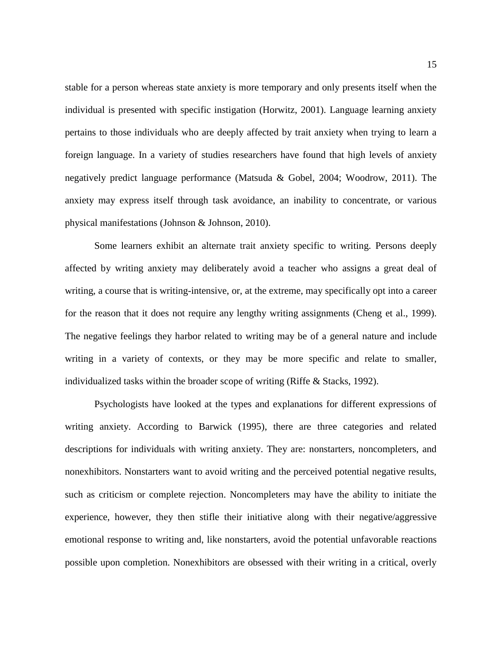stable for a person whereas state anxiety is more temporary and only presents itself when the individual is presented with specific instigation (Horwitz, 2001). Language learning anxiety pertains to those individuals who are deeply affected by trait anxiety when trying to learn a foreign language. In a variety of studies researchers have found that high levels of anxiety negatively predict language performance (Matsuda & Gobel, 2004; Woodrow, 2011). The anxiety may express itself through task avoidance, an inability to concentrate, or various physical manifestations (Johnson & Johnson, 2010).

Some learners exhibit an alternate trait anxiety specific to writing. Persons deeply affected by writing anxiety may deliberately avoid a teacher who assigns a great deal of writing, a course that is writing-intensive, or, at the extreme, may specifically opt into a career for the reason that it does not require any lengthy writing assignments (Cheng et al., 1999). The negative feelings they harbor related to writing may be of a general nature and include writing in a variety of contexts, or they may be more specific and relate to smaller, individualized tasks within the broader scope of writing (Riffe & Stacks, 1992).

Psychologists have looked at the types and explanations for different expressions of writing anxiety. According to Barwick (1995), there are three categories and related descriptions for individuals with writing anxiety. They are: nonstarters, noncompleters, and nonexhibitors. Nonstarters want to avoid writing and the perceived potential negative results, such as criticism or complete rejection. Noncompleters may have the ability to initiate the experience, however, they then stifle their initiative along with their negative/aggressive emotional response to writing and, like nonstarters, avoid the potential unfavorable reactions possible upon completion. Nonexhibitors are obsessed with their writing in a critical, overly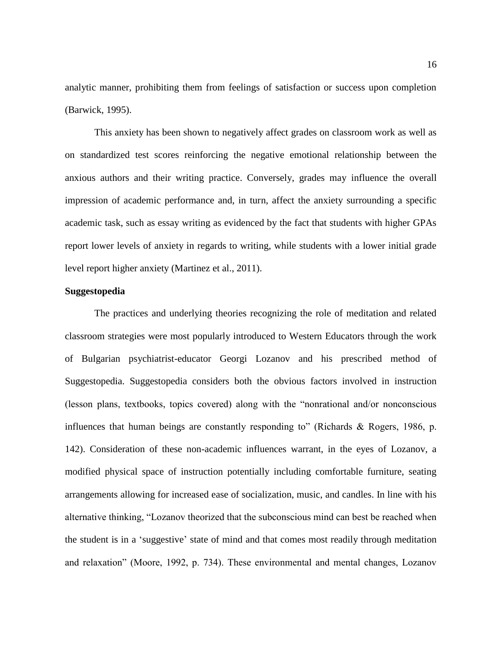analytic manner, prohibiting them from feelings of satisfaction or success upon completion (Barwick, 1995).

This anxiety has been shown to negatively affect grades on classroom work as well as on standardized test scores reinforcing the negative emotional relationship between the anxious authors and their writing practice. Conversely, grades may influence the overall impression of academic performance and, in turn, affect the anxiety surrounding a specific academic task, such as essay writing as evidenced by the fact that students with higher GPAs report lower levels of anxiety in regards to writing, while students with a lower initial grade level report higher anxiety (Martinez et al., 2011).

#### **Suggestopedia**

The practices and underlying theories recognizing the role of meditation and related classroom strategies were most popularly introduced to Western Educators through the work of Bulgarian psychiatrist-educator Georgi Lozanov and his prescribed method of Suggestopedia. Suggestopedia considers both the obvious factors involved in instruction (lesson plans, textbooks, topics covered) along with the "nonrational and/or nonconscious influences that human beings are constantly responding to" (Richards  $\&$  Rogers, 1986, p. 142). Consideration of these non-academic influences warrant, in the eyes of Lozanov, a modified physical space of instruction potentially including comfortable furniture, seating arrangements allowing for increased ease of socialization, music, and candles. In line with his alternative thinking, "Lozanov theorized that the subconscious mind can best be reached when the student is in a 'suggestive' state of mind and that comes most readily through meditation and relaxation" (Moore, 1992, p. 734). These environmental and mental changes, Lozanov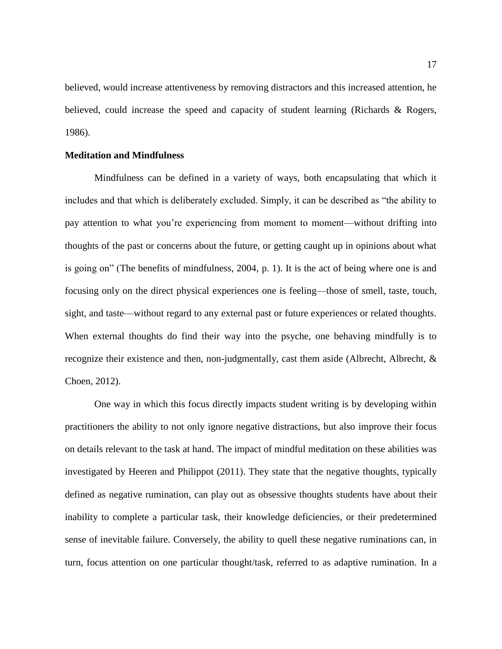believed, would increase attentiveness by removing distractors and this increased attention, he believed, could increase the speed and capacity of student learning (Richards & Rogers, 1986).

#### **Meditation and Mindfulness**

Mindfulness can be defined in a variety of ways, both encapsulating that which it includes and that which is deliberately excluded. Simply, it can be described as "the ability to pay attention to what you're experiencing from moment to moment—without drifting into thoughts of the past or concerns about the future, or getting caught up in opinions about what is going on" (The benefits of mindfulness, 2004, p. 1). It is the act of being where one is and focusing only on the direct physical experiences one is feeling—those of smell, taste, touch, sight, and taste—without regard to any external past or future experiences or related thoughts. When external thoughts do find their way into the psyche, one behaving mindfully is to recognize their existence and then, non-judgmentally, cast them aside (Albrecht, Albrecht, & Choen, 2012).

One way in which this focus directly impacts student writing is by developing within practitioners the ability to not only ignore negative distractions, but also improve their focus on details relevant to the task at hand. The impact of mindful meditation on these abilities was investigated by Heeren and Philippot (2011). They state that the negative thoughts, typically defined as negative rumination, can play out as obsessive thoughts students have about their inability to complete a particular task, their knowledge deficiencies, or their predetermined sense of inevitable failure. Conversely, the ability to quell these negative ruminations can, in turn, focus attention on one particular thought/task, referred to as adaptive rumination. In a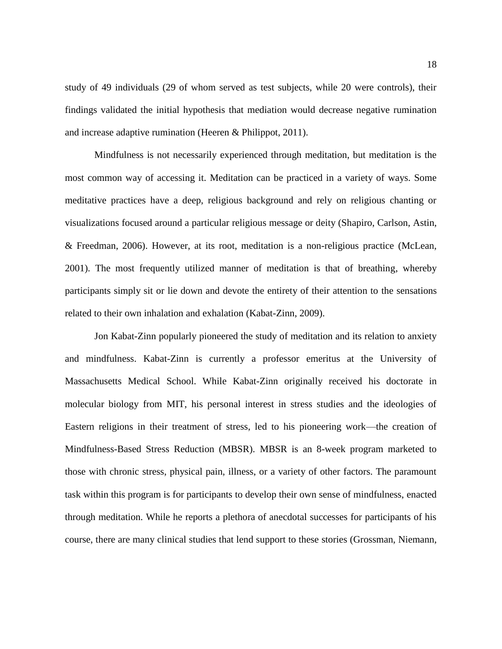study of 49 individuals (29 of whom served as test subjects, while 20 were controls), their findings validated the initial hypothesis that mediation would decrease negative rumination and increase adaptive rumination (Heeren & Philippot, 2011).

Mindfulness is not necessarily experienced through meditation, but meditation is the most common way of accessing it. Meditation can be practiced in a variety of ways. Some meditative practices have a deep, religious background and rely on religious chanting or visualizations focused around a particular religious message or deity (Shapiro, Carlson, Astin, & Freedman, 2006). However, at its root, meditation is a non-religious practice (McLean, 2001). The most frequently utilized manner of meditation is that of breathing, whereby participants simply sit or lie down and devote the entirety of their attention to the sensations related to their own inhalation and exhalation (Kabat-Zinn, 2009).

Jon Kabat-Zinn popularly pioneered the study of meditation and its relation to anxiety and mindfulness. Kabat-Zinn is currently a professor emeritus at the University of Massachusetts Medical School. While Kabat-Zinn originally received his doctorate in molecular biology from MIT, his personal interest in stress studies and the ideologies of Eastern religions in their treatment of stress, led to his pioneering work—the creation of Mindfulness-Based Stress Reduction (MBSR). MBSR is an 8-week program marketed to those with chronic stress, physical pain, illness, or a variety of other factors. The paramount task within this program is for participants to develop their own sense of mindfulness, enacted through meditation. While he reports a plethora of anecdotal successes for participants of his course, there are many clinical studies that lend support to these stories (Grossman, Niemann,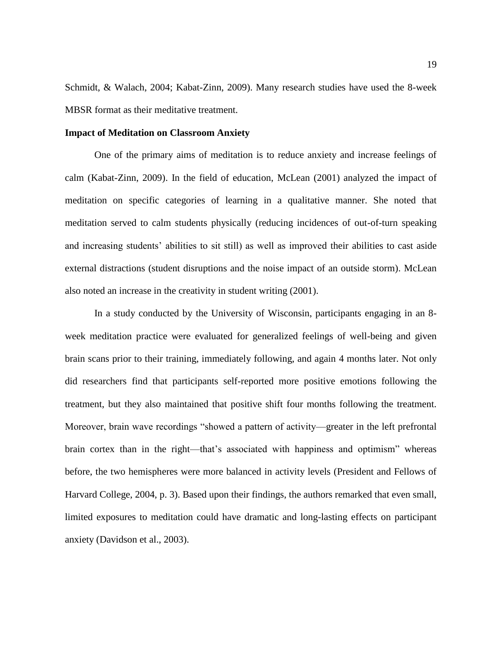Schmidt, & Walach, 2004; Kabat-Zinn, 2009). Many research studies have used the 8-week MBSR format as their meditative treatment.

#### **Impact of Meditation on Classroom Anxiety**

One of the primary aims of meditation is to reduce anxiety and increase feelings of calm (Kabat-Zinn, 2009). In the field of education, McLean (2001) analyzed the impact of meditation on specific categories of learning in a qualitative manner. She noted that meditation served to calm students physically (reducing incidences of out-of-turn speaking and increasing students' abilities to sit still) as well as improved their abilities to cast aside external distractions (student disruptions and the noise impact of an outside storm). McLean also noted an increase in the creativity in student writing (2001).

In a study conducted by the University of Wisconsin, participants engaging in an 8 week meditation practice were evaluated for generalized feelings of well-being and given brain scans prior to their training, immediately following, and again 4 months later. Not only did researchers find that participants self-reported more positive emotions following the treatment, but they also maintained that positive shift four months following the treatment. Moreover, brain wave recordings "showed a pattern of activity—greater in the left prefrontal brain cortex than in the right—that's associated with happiness and optimism" whereas before, the two hemispheres were more balanced in activity levels (President and Fellows of Harvard College, 2004, p. 3). Based upon their findings, the authors remarked that even small, limited exposures to meditation could have dramatic and long-lasting effects on participant anxiety (Davidson et al., 2003).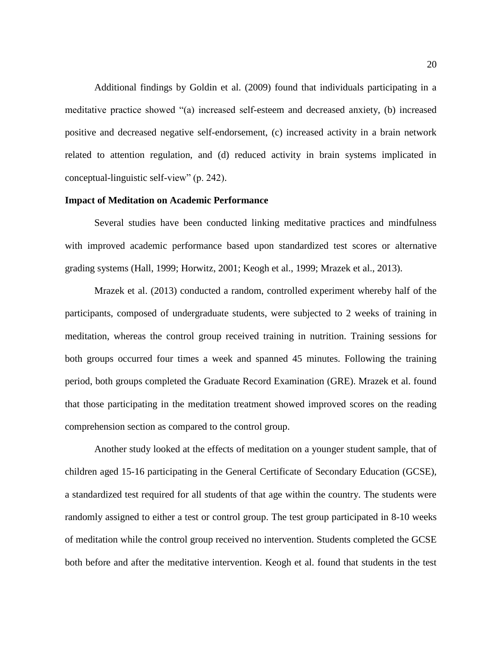Additional findings by Goldin et al. (2009) found that individuals participating in a meditative practice showed "(a) increased self-esteem and decreased anxiety, (b) increased positive and decreased negative self-endorsement, (c) increased activity in a brain network related to attention regulation, and (d) reduced activity in brain systems implicated in conceptual-linguistic self-view" (p. 242).

#### **Impact of Meditation on Academic Performance**

Several studies have been conducted linking meditative practices and mindfulness with improved academic performance based upon standardized test scores or alternative grading systems (Hall, 1999; Horwitz, 2001; Keogh et al., 1999; Mrazek et al., 2013).

Mrazek et al. (2013) conducted a random, controlled experiment whereby half of the participants, composed of undergraduate students, were subjected to 2 weeks of training in meditation, whereas the control group received training in nutrition. Training sessions for both groups occurred four times a week and spanned 45 minutes. Following the training period, both groups completed the Graduate Record Examination (GRE). Mrazek et al. found that those participating in the meditation treatment showed improved scores on the reading comprehension section as compared to the control group.

Another study looked at the effects of meditation on a younger student sample, that of children aged 15-16 participating in the General Certificate of Secondary Education (GCSE), a standardized test required for all students of that age within the country. The students were randomly assigned to either a test or control group. The test group participated in 8-10 weeks of meditation while the control group received no intervention. Students completed the GCSE both before and after the meditative intervention. Keogh et al. found that students in the test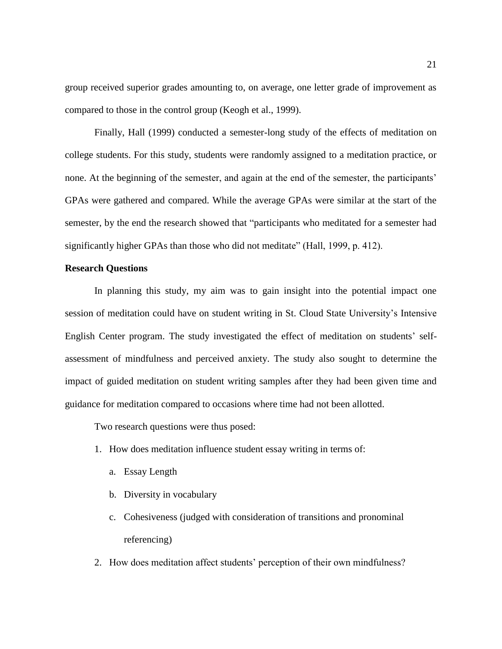group received superior grades amounting to, on average, one letter grade of improvement as compared to those in the control group (Keogh et al., 1999).

Finally, Hall (1999) conducted a semester-long study of the effects of meditation on college students. For this study, students were randomly assigned to a meditation practice, or none. At the beginning of the semester, and again at the end of the semester, the participants' GPAs were gathered and compared. While the average GPAs were similar at the start of the semester, by the end the research showed that "participants who meditated for a semester had significantly higher GPAs than those who did not meditate" (Hall, 1999, p. 412).

#### **Research Questions**

In planning this study, my aim was to gain insight into the potential impact one session of meditation could have on student writing in St. Cloud State University's Intensive English Center program. The study investigated the effect of meditation on students' selfassessment of mindfulness and perceived anxiety. The study also sought to determine the impact of guided meditation on student writing samples after they had been given time and guidance for meditation compared to occasions where time had not been allotted.

Two research questions were thus posed:

- 1. How does meditation influence student essay writing in terms of:
	- a. Essay Length
	- b. Diversity in vocabulary
	- c. Cohesiveness (judged with consideration of transitions and pronominal referencing)
- 2. How does meditation affect students' perception of their own mindfulness?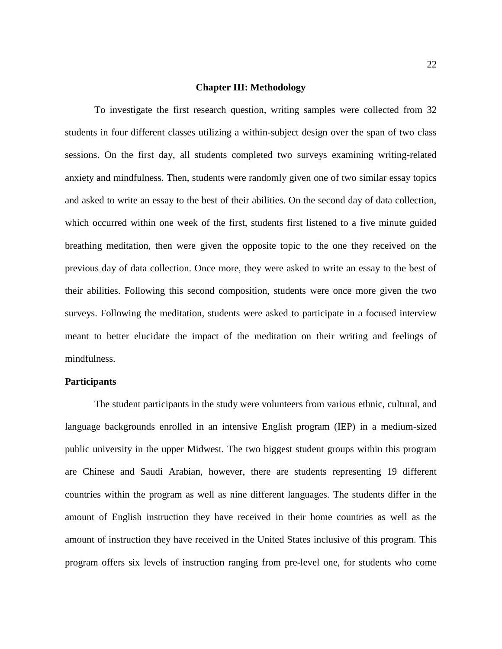#### **Chapter III: Methodology**

To investigate the first research question, writing samples were collected from 32 students in four different classes utilizing a within-subject design over the span of two class sessions. On the first day, all students completed two surveys examining writing-related anxiety and mindfulness. Then, students were randomly given one of two similar essay topics and asked to write an essay to the best of their abilities. On the second day of data collection, which occurred within one week of the first, students first listened to a five minute guided breathing meditation, then were given the opposite topic to the one they received on the previous day of data collection. Once more, they were asked to write an essay to the best of their abilities. Following this second composition, students were once more given the two surveys. Following the meditation, students were asked to participate in a focused interview meant to better elucidate the impact of the meditation on their writing and feelings of mindfulness.

#### **Participants**

The student participants in the study were volunteers from various ethnic, cultural, and language backgrounds enrolled in an intensive English program (IEP) in a medium-sized public university in the upper Midwest. The two biggest student groups within this program are Chinese and Saudi Arabian, however, there are students representing 19 different countries within the program as well as nine different languages. The students differ in the amount of English instruction they have received in their home countries as well as the amount of instruction they have received in the United States inclusive of this program. This program offers six levels of instruction ranging from pre-level one, for students who come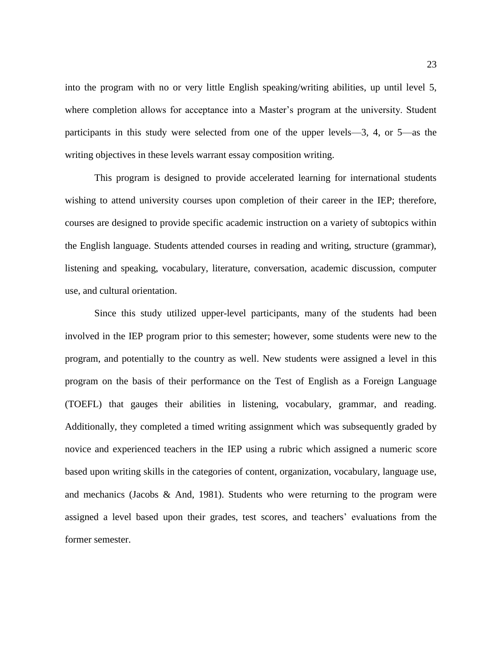into the program with no or very little English speaking/writing abilities, up until level 5, where completion allows for acceptance into a Master's program at the university. Student participants in this study were selected from one of the upper levels—3, 4, or 5—as the writing objectives in these levels warrant essay composition writing.

This program is designed to provide accelerated learning for international students wishing to attend university courses upon completion of their career in the IEP; therefore, courses are designed to provide specific academic instruction on a variety of subtopics within the English language. Students attended courses in reading and writing, structure (grammar), listening and speaking, vocabulary, literature, conversation, academic discussion, computer use, and cultural orientation.

Since this study utilized upper-level participants, many of the students had been involved in the IEP program prior to this semester; however, some students were new to the program, and potentially to the country as well. New students were assigned a level in this program on the basis of their performance on the Test of English as a Foreign Language (TOEFL) that gauges their abilities in listening, vocabulary, grammar, and reading. Additionally, they completed a timed writing assignment which was subsequently graded by novice and experienced teachers in the IEP using a rubric which assigned a numeric score based upon writing skills in the categories of content, organization, vocabulary, language use, and mechanics (Jacobs  $\&$  And, 1981). Students who were returning to the program were assigned a level based upon their grades, test scores, and teachers' evaluations from the former semester.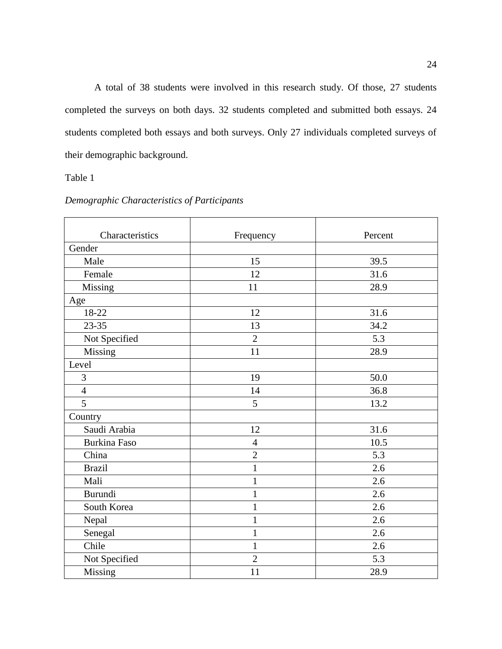A total of 38 students were involved in this research study. Of those, 27 students completed the surveys on both days. 32 students completed and submitted both essays. 24 students completed both essays and both surveys. Only 27 individuals completed surveys of their demographic background.

Table 1

| Characteristics     | Frequency      | Percent |
|---------------------|----------------|---------|
| Gender              |                |         |
| Male                | 15             | 39.5    |
| Female              | 12             | 31.6    |
| Missing             | 11             | 28.9    |
| Age                 |                |         |
| 18-22               | 12             | 31.6    |
| $23 - 35$           | 13             | 34.2    |
| Not Specified       | $\overline{2}$ | 5.3     |
| Missing             | 11             | 28.9    |
| Level               |                |         |
| 3                   | 19             | 50.0    |
| $\overline{4}$      | 14             | 36.8    |
| 5                   | 5              | 13.2    |
| Country             |                |         |
| Saudi Arabia        | 12             | 31.6    |
| <b>Burkina Faso</b> | $\overline{4}$ | 10.5    |
| China               | $\overline{2}$ | 5.3     |
| <b>Brazil</b>       | $\mathbf{1}$   | 2.6     |
| Mali                | $\mathbf{1}$   | 2.6     |
| Burundi             | 1              | 2.6     |
| South Korea         | $\mathbf{1}$   | 2.6     |
| Nepal               | $\mathbf{1}$   | 2.6     |
| Senegal             | $\mathbf{1}$   | 2.6     |
| Chile               | $\mathbf{1}$   | 2.6     |
| Not Specified       | $\overline{2}$ | 5.3     |
| Missing             | 11             | 28.9    |

#### *Demographic Characteristics of Participants*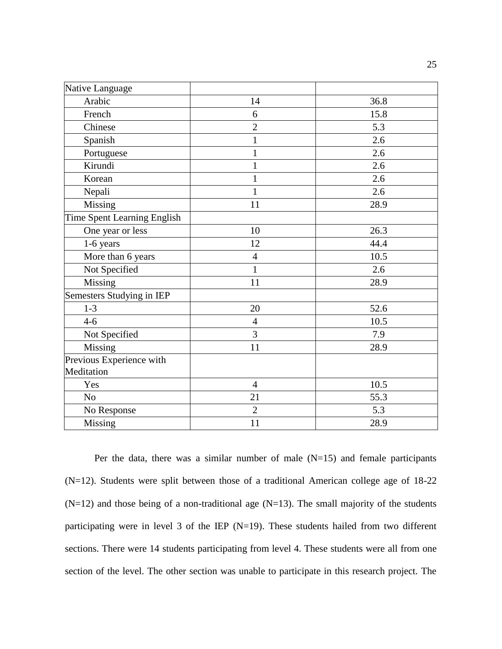| Native Language                        |                |      |
|----------------------------------------|----------------|------|
| Arabic                                 | 14             | 36.8 |
| French                                 | 6              | 15.8 |
| Chinese                                | $\overline{2}$ | 5.3  |
| Spanish                                | $\mathbf{1}$   | 2.6  |
| Portuguese                             | $\mathbf{1}$   | 2.6  |
| Kirundi                                | $\mathbf{1}$   | 2.6  |
| Korean                                 | $\mathbf{1}$   | 2.6  |
| Nepali                                 | 1              | 2.6  |
| Missing                                | 11             | 28.9 |
| Time Spent Learning English            |                |      |
| One year or less                       | 10             | 26.3 |
| 1-6 years                              | 12             | 44.4 |
| More than 6 years                      | $\overline{4}$ | 10.5 |
| Not Specified                          | $\mathbf{1}$   | 2.6  |
| Missing                                | 11             | 28.9 |
| Semesters Studying in IEP              |                |      |
| $1 - 3$                                | 20             | 52.6 |
| $4 - 6$                                | $\overline{4}$ | 10.5 |
| Not Specified                          | $\overline{3}$ | 7.9  |
| Missing                                | 11             | 28.9 |
| Previous Experience with<br>Meditation |                |      |
| Yes                                    | $\overline{4}$ | 10.5 |
| No                                     | 21             | 55.3 |
| No Response                            | $\overline{2}$ | 5.3  |
| Missing                                | 11             | 28.9 |

Per the data, there was a similar number of male  $(N=15)$  and female participants (N=12). Students were split between those of a traditional American college age of 18-22  $(N=12)$  and those being of a non-traditional age  $(N=13)$ . The small majority of the students participating were in level 3 of the IEP  $(N=19)$ . These students hailed from two different sections. There were 14 students participating from level 4. These students were all from one section of the level. The other section was unable to participate in this research project. The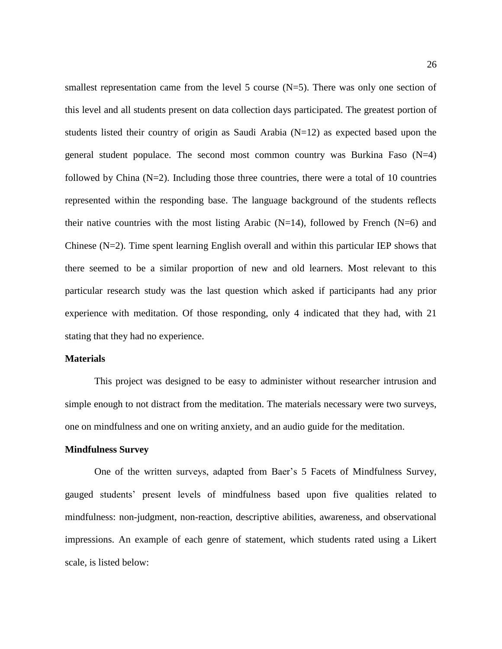smallest representation came from the level 5 course  $(N=5)$ . There was only one section of this level and all students present on data collection days participated. The greatest portion of students listed their country of origin as Saudi Arabia  $(N=12)$  as expected based upon the general student populace. The second most common country was Burkina Faso  $(N=4)$ followed by China  $(N=2)$ . Including those three countries, there were a total of 10 countries represented within the responding base. The language background of the students reflects their native countries with the most listing Arabic (N=14), followed by French (N=6) and Chinese  $(N=2)$ . Time spent learning English overall and within this particular IEP shows that there seemed to be a similar proportion of new and old learners. Most relevant to this particular research study was the last question which asked if participants had any prior experience with meditation. Of those responding, only 4 indicated that they had, with 21 stating that they had no experience.

#### **Materials**

This project was designed to be easy to administer without researcher intrusion and simple enough to not distract from the meditation. The materials necessary were two surveys, one on mindfulness and one on writing anxiety, and an audio guide for the meditation.

#### **Mindfulness Survey**

One of the written surveys, adapted from Baer's 5 Facets of Mindfulness Survey, gauged students' present levels of mindfulness based upon five qualities related to mindfulness: non-judgment, non-reaction, descriptive abilities, awareness, and observational impressions. An example of each genre of statement, which students rated using a Likert scale, is listed below: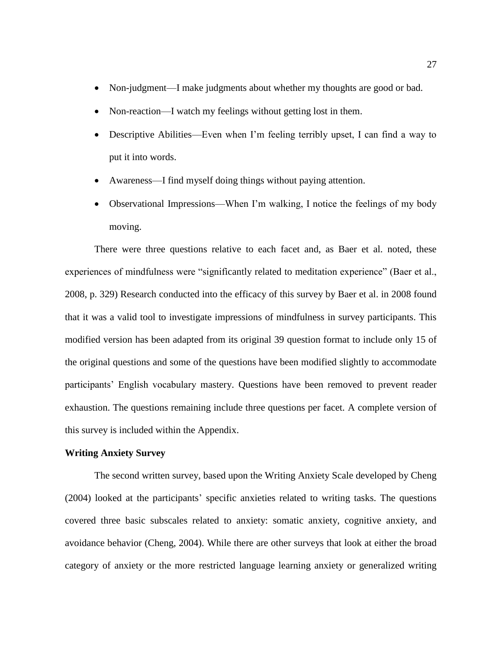- Non-judgment—I make judgments about whether my thoughts are good or bad.
- Non-reaction—I watch my feelings without getting lost in them.
- Descriptive Abilities—Even when I'm feeling terribly upset, I can find a way to put it into words.
- Awareness—I find myself doing things without paying attention.
- Observational Impressions—When I'm walking, I notice the feelings of my body moving.

There were three questions relative to each facet and, as Baer et al. noted, these experiences of mindfulness were "significantly related to meditation experience" (Baer et al., 2008, p. 329) Research conducted into the efficacy of this survey by Baer et al. in 2008 found that it was a valid tool to investigate impressions of mindfulness in survey participants. This modified version has been adapted from its original 39 question format to include only 15 of the original questions and some of the questions have been modified slightly to accommodate participants' English vocabulary mastery. Questions have been removed to prevent reader exhaustion. The questions remaining include three questions per facet. A complete version of this survey is included within the Appendix.

#### **Writing Anxiety Survey**

The second written survey, based upon the Writing Anxiety Scale developed by Cheng (2004) looked at the participants' specific anxieties related to writing tasks. The questions covered three basic subscales related to anxiety: somatic anxiety, cognitive anxiety, and avoidance behavior (Cheng, 2004). While there are other surveys that look at either the broad category of anxiety or the more restricted language learning anxiety or generalized writing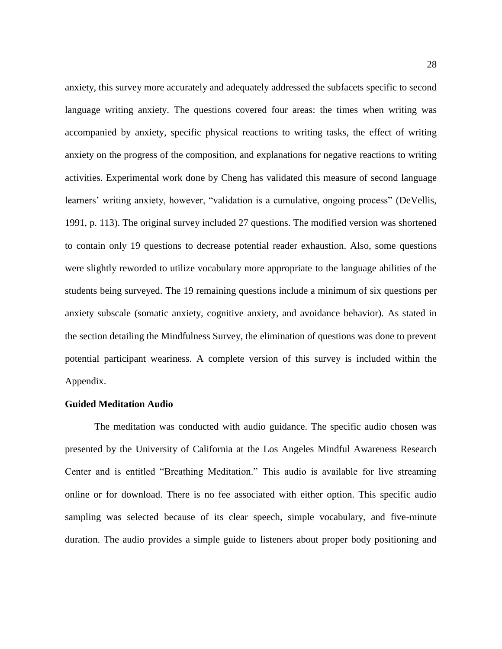anxiety, this survey more accurately and adequately addressed the subfacets specific to second language writing anxiety. The questions covered four areas: the times when writing was accompanied by anxiety, specific physical reactions to writing tasks, the effect of writing anxiety on the progress of the composition, and explanations for negative reactions to writing activities. Experimental work done by Cheng has validated this measure of second language learners' writing anxiety, however, "validation is a cumulative, ongoing process" (DeVellis, 1991, p. 113). The original survey included 27 questions. The modified version was shortened to contain only 19 questions to decrease potential reader exhaustion. Also, some questions were slightly reworded to utilize vocabulary more appropriate to the language abilities of the students being surveyed. The 19 remaining questions include a minimum of six questions per anxiety subscale (somatic anxiety, cognitive anxiety, and avoidance behavior). As stated in the section detailing the Mindfulness Survey, the elimination of questions was done to prevent potential participant weariness. A complete version of this survey is included within the Appendix.

#### **Guided Meditation Audio**

The meditation was conducted with audio guidance. The specific audio chosen was presented by the University of California at the Los Angeles Mindful Awareness Research Center and is entitled "Breathing Meditation." This audio is available for live streaming online or for download. There is no fee associated with either option. This specific audio sampling was selected because of its clear speech, simple vocabulary, and five-minute duration. The audio provides a simple guide to listeners about proper body positioning and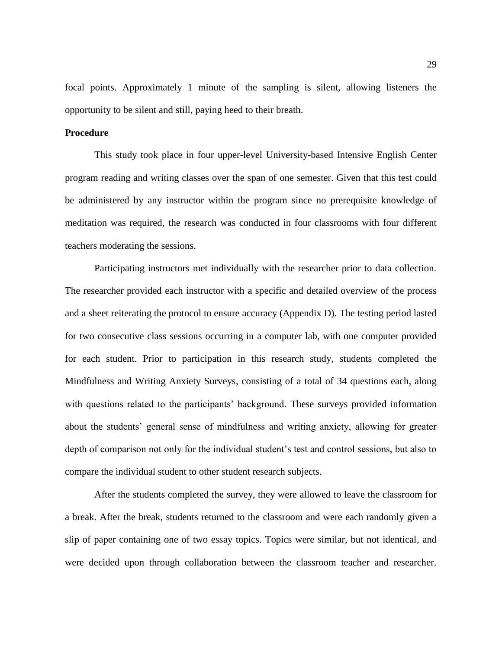focal points. Approximately 1 minute of the sampling is silent, allowing listeners the opportunity to be silent and still, paying heed to their breath.

#### **Procedure**

This study took place in four upper-level University-based Intensive English Center program reading and writing classes over the span of one semester. Given that this test could be administered by any instructor within the program since no prerequisite knowledge of meditation was required, the research was conducted in four classrooms with four different teachers moderating the sessions.

Participating instructors met individually with the researcher prior to data collection. The researcher provided each instructor with a specific and detailed overview of the process and a sheet reiterating the protocol to ensure accuracy (Appendix D). The testing period lasted for two consecutive class sessions occurring in a computer lab, with one computer provided for each student. Prior to participation in this research study, students completed the Mindfulness and Writing Anxiety Surveys, consisting of a total of 34 questions each, along with questions related to the participants' background. These surveys provided information about the students' general sense of mindfulness and writing anxiety, allowing for greater depth of comparison not only for the individual student's test and control sessions, but also to compare the individual student to other student research subjects.

After the students completed the survey, they were allowed to leave the classroom for a break. After the break, students returned to the classroom and were each randomly given a slip of paper containing one of two essay topics. Topics were similar, but not identical, and were decided upon through collaboration between the classroom teacher and researcher.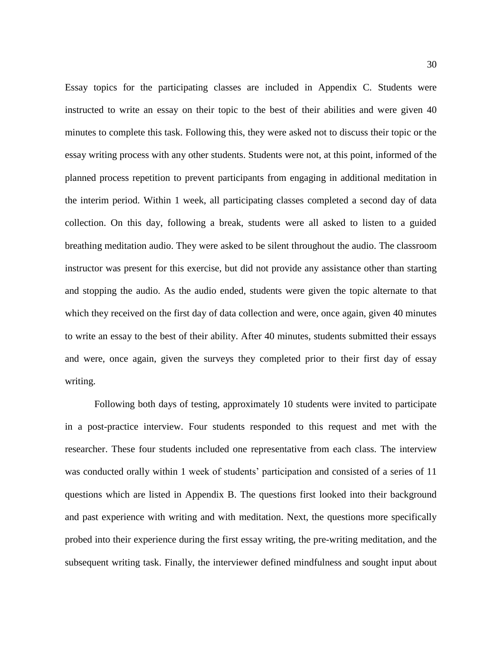Essay topics for the participating classes are included in Appendix C. Students were instructed to write an essay on their topic to the best of their abilities and were given 40 minutes to complete this task. Following this, they were asked not to discuss their topic or the essay writing process with any other students. Students were not, at this point, informed of the planned process repetition to prevent participants from engaging in additional meditation in the interim period. Within 1 week, all participating classes completed a second day of data collection. On this day, following a break, students were all asked to listen to a guided breathing meditation audio. They were asked to be silent throughout the audio. The classroom instructor was present for this exercise, but did not provide any assistance other than starting and stopping the audio. As the audio ended, students were given the topic alternate to that which they received on the first day of data collection and were, once again, given 40 minutes to write an essay to the best of their ability. After 40 minutes, students submitted their essays and were, once again, given the surveys they completed prior to their first day of essay writing.

Following both days of testing, approximately 10 students were invited to participate in a post-practice interview. Four students responded to this request and met with the researcher. These four students included one representative from each class. The interview was conducted orally within 1 week of students' participation and consisted of a series of 11 questions which are listed in Appendix B. The questions first looked into their background and past experience with writing and with meditation. Next, the questions more specifically probed into their experience during the first essay writing, the pre-writing meditation, and the subsequent writing task. Finally, the interviewer defined mindfulness and sought input about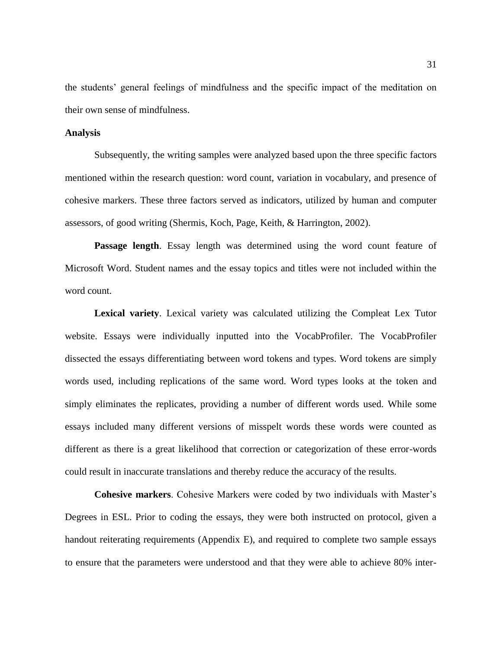the students' general feelings of mindfulness and the specific impact of the meditation on their own sense of mindfulness.

#### **Analysis**

Subsequently, the writing samples were analyzed based upon the three specific factors mentioned within the research question: word count, variation in vocabulary, and presence of cohesive markers. These three factors served as indicators, utilized by human and computer assessors, of good writing (Shermis, Koch, Page, Keith, & Harrington, 2002).

Passage length. Essay length was determined using the word count feature of Microsoft Word. Student names and the essay topics and titles were not included within the word count.

**Lexical variety**. Lexical variety was calculated utilizing the Compleat Lex Tutor website. Essays were individually inputted into the VocabProfiler. The VocabProfiler dissected the essays differentiating between word tokens and types. Word tokens are simply words used, including replications of the same word. Word types looks at the token and simply eliminates the replicates, providing a number of different words used. While some essays included many different versions of misspelt words these words were counted as different as there is a great likelihood that correction or categorization of these error-words could result in inaccurate translations and thereby reduce the accuracy of the results.

**Cohesive markers**. Cohesive Markers were coded by two individuals with Master's Degrees in ESL. Prior to coding the essays, they were both instructed on protocol, given a handout reiterating requirements (Appendix E), and required to complete two sample essays to ensure that the parameters were understood and that they were able to achieve 80% inter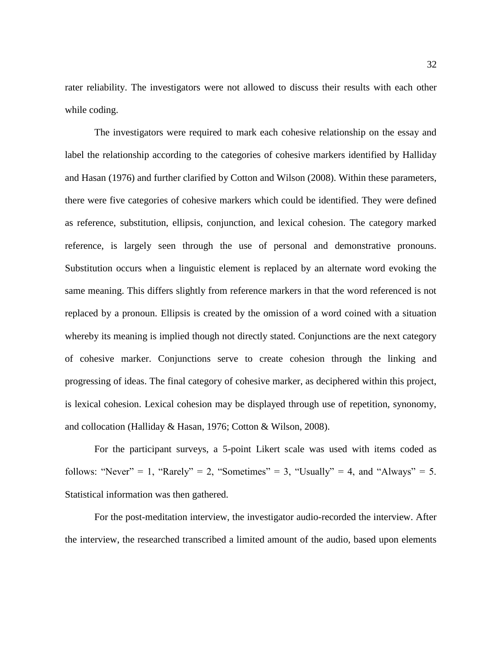rater reliability. The investigators were not allowed to discuss their results with each other while coding.

The investigators were required to mark each cohesive relationship on the essay and label the relationship according to the categories of cohesive markers identified by Halliday and Hasan (1976) and further clarified by Cotton and Wilson (2008). Within these parameters, there were five categories of cohesive markers which could be identified. They were defined as reference, substitution, ellipsis, conjunction, and lexical cohesion. The category marked reference, is largely seen through the use of personal and demonstrative pronouns. Substitution occurs when a linguistic element is replaced by an alternate word evoking the same meaning. This differs slightly from reference markers in that the word referenced is not replaced by a pronoun. Ellipsis is created by the omission of a word coined with a situation whereby its meaning is implied though not directly stated. Conjunctions are the next category of cohesive marker. Conjunctions serve to create cohesion through the linking and progressing of ideas. The final category of cohesive marker, as deciphered within this project, is lexical cohesion. Lexical cohesion may be displayed through use of repetition, synonomy, and collocation (Halliday & Hasan, 1976; Cotton & Wilson, 2008).

For the participant surveys, a 5-point Likert scale was used with items coded as follows: "Never" = 1, "Rarely" = 2, "Sometimes" = 3, "Usually" = 4, and "Always" = 5. Statistical information was then gathered.

For the post-meditation interview, the investigator audio-recorded the interview. After the interview, the researched transcribed a limited amount of the audio, based upon elements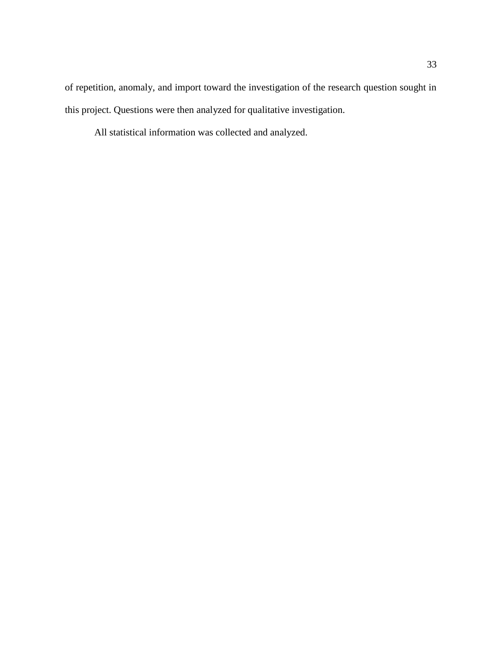of repetition, anomaly, and import toward the investigation of the research question sought in this project. Questions were then analyzed for qualitative investigation.

All statistical information was collected and analyzed.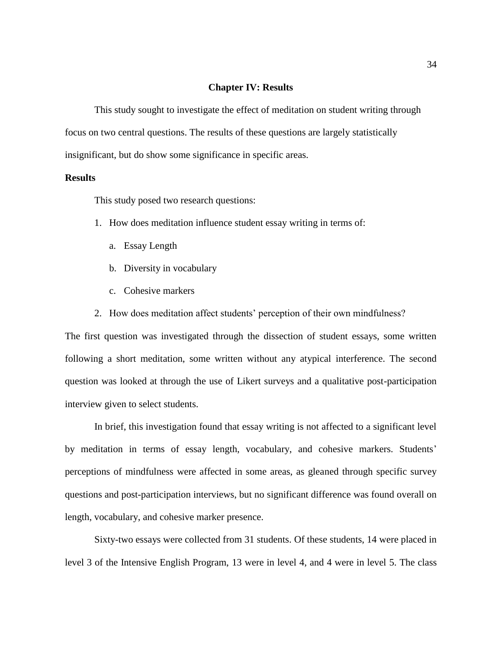#### **Chapter IV: Results**

This study sought to investigate the effect of meditation on student writing through focus on two central questions. The results of these questions are largely statistically insignificant, but do show some significance in specific areas.

#### **Results**

This study posed two research questions:

- 1. How does meditation influence student essay writing in terms of:
	- a. Essay Length
	- b. Diversity in vocabulary
	- c. Cohesive markers
- 2. How does meditation affect students' perception of their own mindfulness?

The first question was investigated through the dissection of student essays, some written following a short meditation, some written without any atypical interference. The second question was looked at through the use of Likert surveys and a qualitative post-participation interview given to select students.

In brief, this investigation found that essay writing is not affected to a significant level by meditation in terms of essay length, vocabulary, and cohesive markers. Students' perceptions of mindfulness were affected in some areas, as gleaned through specific survey questions and post-participation interviews, but no significant difference was found overall on length, vocabulary, and cohesive marker presence.

Sixty-two essays were collected from 31 students. Of these students, 14 were placed in level 3 of the Intensive English Program, 13 were in level 4, and 4 were in level 5. The class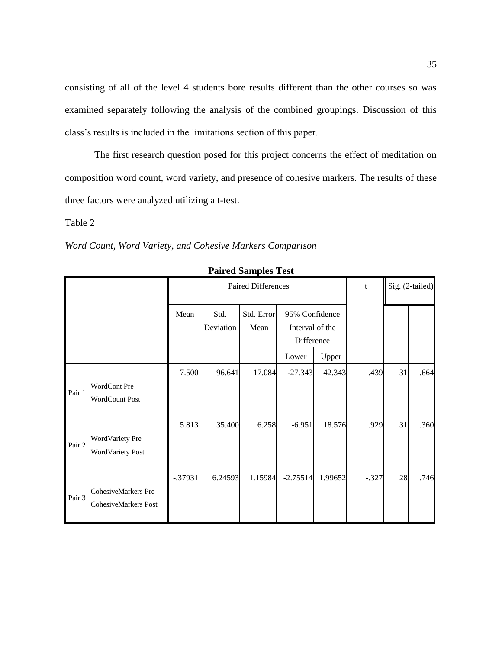consisting of all of the level 4 students bore results different than the other courses so was examined separately following the analysis of the combined groupings. Discussion of this class's results is included in the limitations section of this paper.

The first research question posed for this project concerns the effect of meditation on composition word count, word variety, and presence of cohesive markers. The results of these three factors were analyzed utilizing a t-test.

Table 2

|  | Word Count, Word Variety, and Cohesive Markers Comparison |  |  |  |
|--|-----------------------------------------------------------|--|--|--|
|--|-----------------------------------------------------------|--|--|--|

|        | <b>Paired Samples Test</b>                  |           |                   |                           |                                                 |         |         |    |                 |
|--------|---------------------------------------------|-----------|-------------------|---------------------------|-------------------------------------------------|---------|---------|----|-----------------|
|        |                                             |           |                   | <b>Paired Differences</b> |                                                 |         | t       |    | Sig. (2-tailed) |
|        |                                             | Mean      | Std.<br>Deviation | Std. Error<br>Mean        | 95% Confidence<br>Interval of the<br>Difference |         |         |    |                 |
|        |                                             |           |                   |                           | Lower                                           | Upper   |         |    |                 |
| Pair 1 | WordCont Pre<br><b>WordCount Post</b>       | 7.500     | 96.641            | 17.084                    | $-27.343$                                       | 42.343  | .439    | 31 | .664            |
| Pair 2 | WordVariety Pre<br><b>WordVariety Post</b>  | 5.813     | 35.400            | 6.258                     | $-6.951$                                        | 18.576  | .929    | 31 | .360            |
| Pair 3 | CohesiveMarkers Pre<br>CohesiveMarkers Post | $-.37931$ | 6.24593           | 1.15984                   | $-2.75514$                                      | 1.99652 | $-.327$ | 28 | .746            |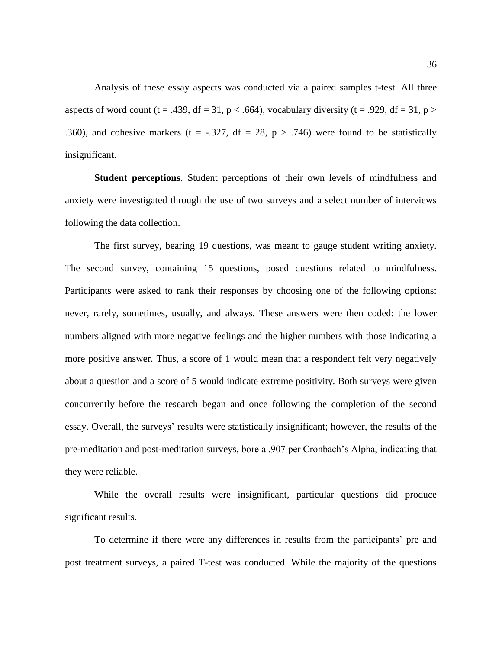Analysis of these essay aspects was conducted via a paired samples t-test. All three aspects of word count (t = .439, df = 31,  $p < .664$ ), vocabulary diversity (t = .929, df = 31, p > .360), and cohesive markers (t = -.327, df = 28, p > .746) were found to be statistically insignificant.

**Student perceptions**. Student perceptions of their own levels of mindfulness and anxiety were investigated through the use of two surveys and a select number of interviews following the data collection.

The first survey, bearing 19 questions, was meant to gauge student writing anxiety. The second survey, containing 15 questions, posed questions related to mindfulness. Participants were asked to rank their responses by choosing one of the following options: never, rarely, sometimes, usually, and always. These answers were then coded: the lower numbers aligned with more negative feelings and the higher numbers with those indicating a more positive answer. Thus, a score of 1 would mean that a respondent felt very negatively about a question and a score of 5 would indicate extreme positivity. Both surveys were given concurrently before the research began and once following the completion of the second essay. Overall, the surveys' results were statistically insignificant; however, the results of the pre-meditation and post-meditation surveys, bore a .907 per Cronbach's Alpha, indicating that they were reliable.

While the overall results were insignificant, particular questions did produce significant results.

To determine if there were any differences in results from the participants' pre and post treatment surveys, a paired T-test was conducted. While the majority of the questions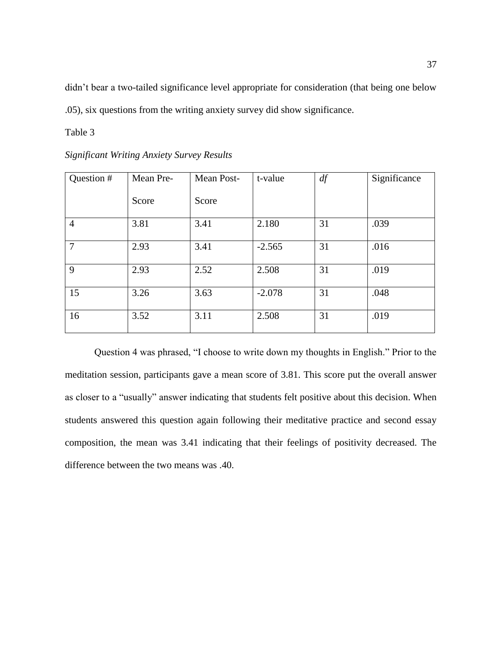didn't bear a two-tailed significance level appropriate for consideration (that being one below .05), six questions from the writing anxiety survey did show significance.

Table 3

| <b>Significant Writing Anxiety Survey Results</b> |  |  |  |  |  |
|---------------------------------------------------|--|--|--|--|--|
|---------------------------------------------------|--|--|--|--|--|

| Question #     | Mean Pre- | Mean Post- | t-value  | df | Significance |
|----------------|-----------|------------|----------|----|--------------|
|                | Score     | Score      |          |    |              |
| $\overline{4}$ | 3.81      | 3.41       | 2.180    | 31 | .039         |
| $\overline{7}$ | 2.93      | 3.41       | $-2.565$ | 31 | .016         |
| 9              | 2.93      | 2.52       | 2.508    | 31 | .019         |
| 15             | 3.26      | 3.63       | $-2.078$ | 31 | .048         |
| 16             | 3.52      | 3.11       | 2.508    | 31 | .019         |

Question 4 was phrased, "I choose to write down my thoughts in English." Prior to the meditation session, participants gave a mean score of 3.81. This score put the overall answer as closer to a "usually" answer indicating that students felt positive about this decision. When students answered this question again following their meditative practice and second essay composition, the mean was 3.41 indicating that their feelings of positivity decreased. The difference between the two means was .40.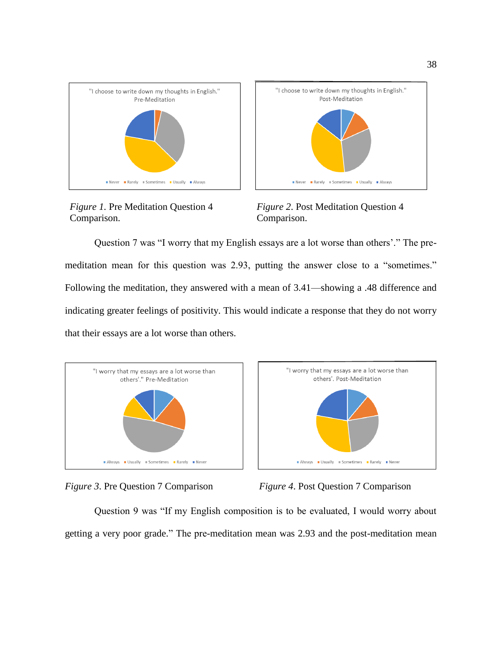

Comparison. Comparison.



 *Figure 1.* Pre Meditation Question 4 *Figure 2*. Post Meditation Question 4

Question 7 was "I worry that my English essays are a lot worse than others'." The premeditation mean for this question was 2.93, putting the answer close to a "sometimes." Following the meditation, they answered with a mean of 3.41—showing a .48 difference and indicating greater feelings of positivity. This would indicate a response that they do not worry that their essays are a lot worse than others.









Question 9 was "If my English composition is to be evaluated, I would worry about getting a very poor grade." The pre-meditation mean was 2.93 and the post-meditation mean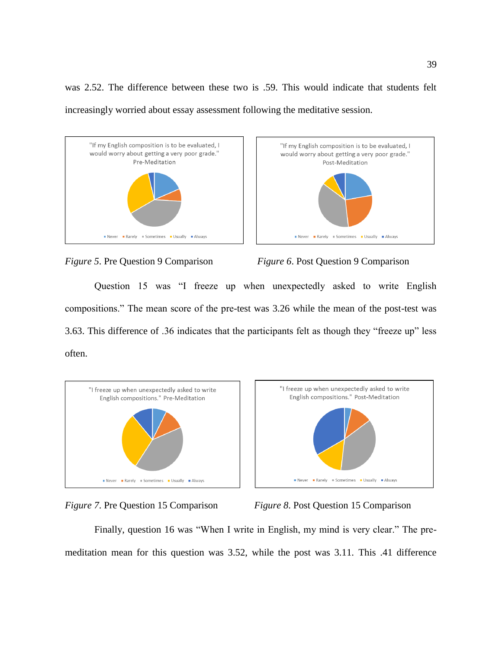was 2.52. The difference between these two is .59. This would indicate that students felt increasingly worried about essay assessment following the meditative session.









Question 15 was "I freeze up when unexpectedly asked to write English compositions." The mean score of the pre-test was 3.26 while the mean of the post-test was 3.63. This difference of .36 indicates that the participants felt as though they "freeze up" less often.







*Figure 7*. Pre Question 15 Comparison *Figure 8*. Post Question 15 Comparison

Finally, question 16 was "When I write in English, my mind is very clear." The premeditation mean for this question was 3.52, while the post was 3.11. This .41 difference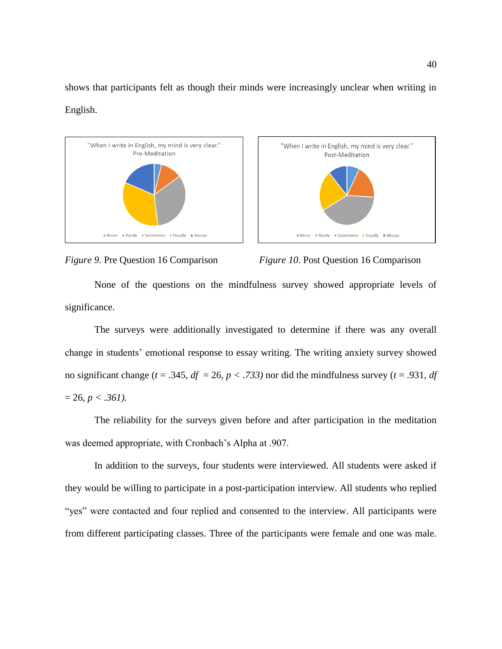shows that participants felt as though their minds were increasingly unclear when writing in English.







None of the questions on the mindfulness survey showed appropriate levels of significance.

The surveys were additionally investigated to determine if there was any overall change in students' emotional response to essay writing. The writing anxiety survey showed no significant change ( $t = .345$ ,  $df = 26$ ,  $p < .733$ ) nor did the mindfulness survey ( $t = .931$ , *df*  $= 26, p < .361$ ).

The reliability for the surveys given before and after participation in the meditation was deemed appropriate, with Cronbach's Alpha at .907.

In addition to the surveys, four students were interviewed. All students were asked if they would be willing to participate in a post-participation interview. All students who replied "yes" were contacted and four replied and consented to the interview. All participants were from different participating classes. Three of the participants were female and one was male.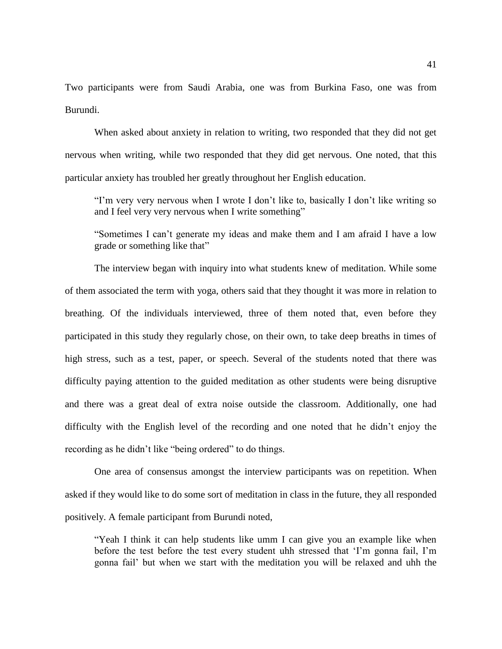Two participants were from Saudi Arabia, one was from Burkina Faso, one was from Burundi.

When asked about anxiety in relation to writing, two responded that they did not get nervous when writing, while two responded that they did get nervous. One noted, that this particular anxiety has troubled her greatly throughout her English education.

"I'm very very nervous when I wrote I don't like to, basically I don't like writing so and I feel very very nervous when I write something"

"Sometimes I can't generate my ideas and make them and I am afraid I have a low grade or something like that"

The interview began with inquiry into what students knew of meditation. While some of them associated the term with yoga, others said that they thought it was more in relation to breathing. Of the individuals interviewed, three of them noted that, even before they participated in this study they regularly chose, on their own, to take deep breaths in times of high stress, such as a test, paper, or speech. Several of the students noted that there was difficulty paying attention to the guided meditation as other students were being disruptive and there was a great deal of extra noise outside the classroom. Additionally, one had difficulty with the English level of the recording and one noted that he didn't enjoy the recording as he didn't like "being ordered" to do things.

One area of consensus amongst the interview participants was on repetition. When asked if they would like to do some sort of meditation in class in the future, they all responded positively. A female participant from Burundi noted,

"Yeah I think it can help students like umm I can give you an example like when before the test before the test every student uhh stressed that 'I'm gonna fail, I'm gonna fail' but when we start with the meditation you will be relaxed and uhh the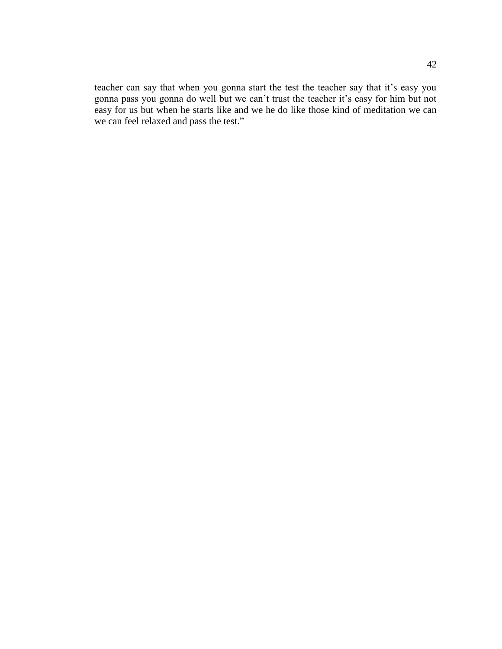teacher can say that when you gonna start the test the teacher say that it's easy you gonna pass you gonna do well but we can't trust the teacher it's easy for him but not easy for us but when he starts like and we he do like those kind of meditation we can we can feel relaxed and pass the test."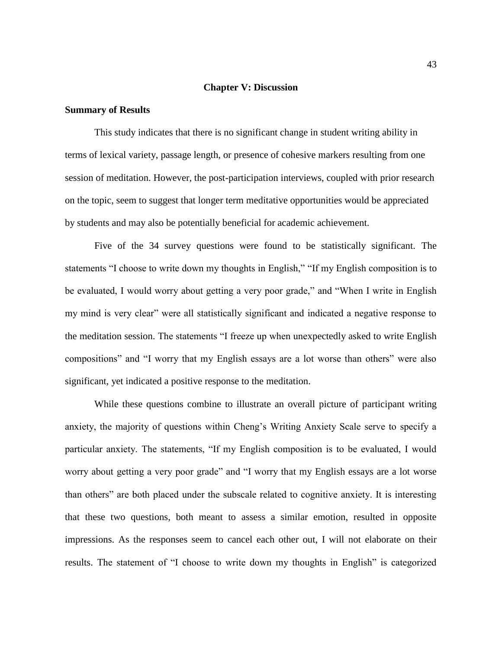#### **Chapter V: Discussion**

#### **Summary of Results**

This study indicates that there is no significant change in student writing ability in terms of lexical variety, passage length, or presence of cohesive markers resulting from one session of meditation. However, the post-participation interviews, coupled with prior research on the topic, seem to suggest that longer term meditative opportunities would be appreciated by students and may also be potentially beneficial for academic achievement.

Five of the 34 survey questions were found to be statistically significant. The statements "I choose to write down my thoughts in English," "If my English composition is to be evaluated, I would worry about getting a very poor grade," and "When I write in English my mind is very clear" were all statistically significant and indicated a negative response to the meditation session. The statements "I freeze up when unexpectedly asked to write English compositions" and "I worry that my English essays are a lot worse than others" were also significant, yet indicated a positive response to the meditation.

While these questions combine to illustrate an overall picture of participant writing anxiety, the majority of questions within Cheng's Writing Anxiety Scale serve to specify a particular anxiety. The statements, "If my English composition is to be evaluated, I would worry about getting a very poor grade" and "I worry that my English essays are a lot worse than others" are both placed under the subscale related to cognitive anxiety. It is interesting that these two questions, both meant to assess a similar emotion, resulted in opposite impressions. As the responses seem to cancel each other out, I will not elaborate on their results. The statement of "I choose to write down my thoughts in English" is categorized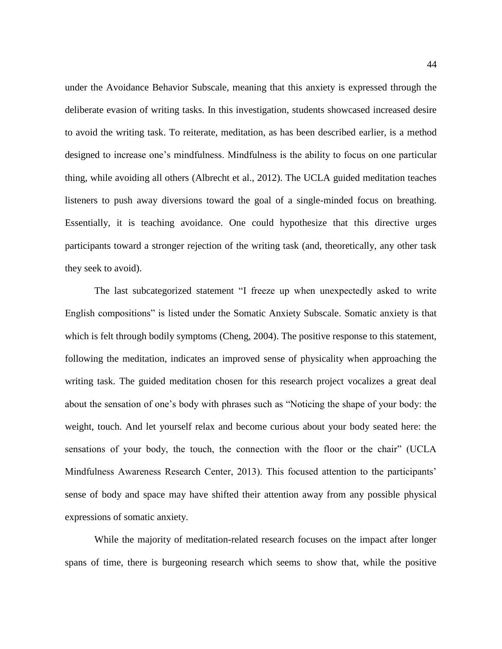under the Avoidance Behavior Subscale, meaning that this anxiety is expressed through the deliberate evasion of writing tasks. In this investigation, students showcased increased desire to avoid the writing task. To reiterate, meditation, as has been described earlier, is a method designed to increase one's mindfulness. Mindfulness is the ability to focus on one particular thing, while avoiding all others (Albrecht et al., 2012). The UCLA guided meditation teaches listeners to push away diversions toward the goal of a single-minded focus on breathing. Essentially, it is teaching avoidance. One could hypothesize that this directive urges participants toward a stronger rejection of the writing task (and, theoretically, any other task they seek to avoid).

The last subcategorized statement "I freeze up when unexpectedly asked to write English compositions" is listed under the Somatic Anxiety Subscale. Somatic anxiety is that which is felt through bodily symptoms (Cheng, 2004). The positive response to this statement, following the meditation, indicates an improved sense of physicality when approaching the writing task. The guided meditation chosen for this research project vocalizes a great deal about the sensation of one's body with phrases such as "Noticing the shape of your body: the weight, touch. And let yourself relax and become curious about your body seated here: the sensations of your body, the touch, the connection with the floor or the chair" (UCLA Mindfulness Awareness Research Center, 2013). This focused attention to the participants' sense of body and space may have shifted their attention away from any possible physical expressions of somatic anxiety.

While the majority of meditation-related research focuses on the impact after longer spans of time, there is burgeoning research which seems to show that, while the positive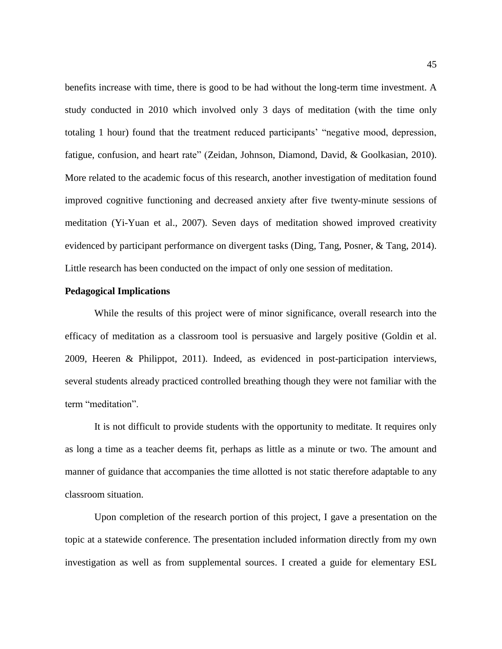benefits increase with time, there is good to be had without the long-term time investment. A study conducted in 2010 which involved only 3 days of meditation (with the time only totaling 1 hour) found that the treatment reduced participants' "negative mood, depression, fatigue, confusion, and heart rate" (Zeidan, Johnson, Diamond, David, & Goolkasian, 2010). More related to the academic focus of this research, another investigation of meditation found improved cognitive functioning and decreased anxiety after five twenty-minute sessions of meditation (Yi-Yuan et al., 2007). Seven days of meditation showed improved creativity evidenced by participant performance on divergent tasks (Ding, Tang, Posner, & Tang, 2014). Little research has been conducted on the impact of only one session of meditation.

#### **Pedagogical Implications**

While the results of this project were of minor significance, overall research into the efficacy of meditation as a classroom tool is persuasive and largely positive (Goldin et al. 2009, Heeren & Philippot, 2011). Indeed, as evidenced in post-participation interviews, several students already practiced controlled breathing though they were not familiar with the term "meditation".

It is not difficult to provide students with the opportunity to meditate. It requires only as long a time as a teacher deems fit, perhaps as little as a minute or two. The amount and manner of guidance that accompanies the time allotted is not static therefore adaptable to any classroom situation.

Upon completion of the research portion of this project, I gave a presentation on the topic at a statewide conference. The presentation included information directly from my own investigation as well as from supplemental sources. I created a guide for elementary ESL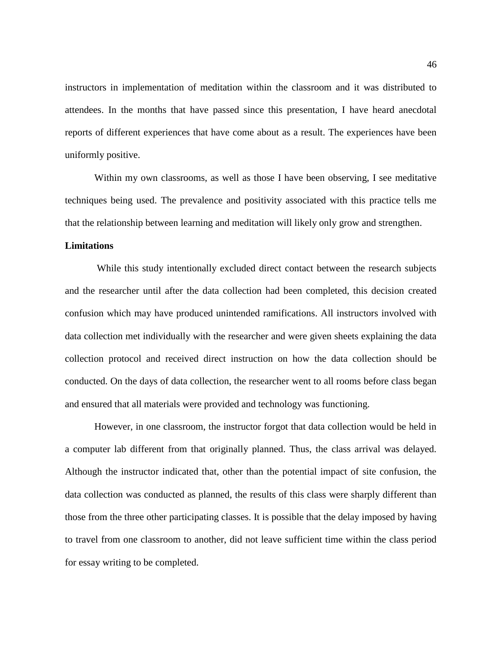instructors in implementation of meditation within the classroom and it was distributed to attendees. In the months that have passed since this presentation, I have heard anecdotal reports of different experiences that have come about as a result. The experiences have been uniformly positive.

Within my own classrooms, as well as those I have been observing, I see meditative techniques being used. The prevalence and positivity associated with this practice tells me that the relationship between learning and meditation will likely only grow and strengthen.

#### **Limitations**

While this study intentionally excluded direct contact between the research subjects and the researcher until after the data collection had been completed, this decision created confusion which may have produced unintended ramifications. All instructors involved with data collection met individually with the researcher and were given sheets explaining the data collection protocol and received direct instruction on how the data collection should be conducted. On the days of data collection, the researcher went to all rooms before class began and ensured that all materials were provided and technology was functioning.

However, in one classroom, the instructor forgot that data collection would be held in a computer lab different from that originally planned. Thus, the class arrival was delayed. Although the instructor indicated that, other than the potential impact of site confusion, the data collection was conducted as planned, the results of this class were sharply different than those from the three other participating classes. It is possible that the delay imposed by having to travel from one classroom to another, did not leave sufficient time within the class period for essay writing to be completed.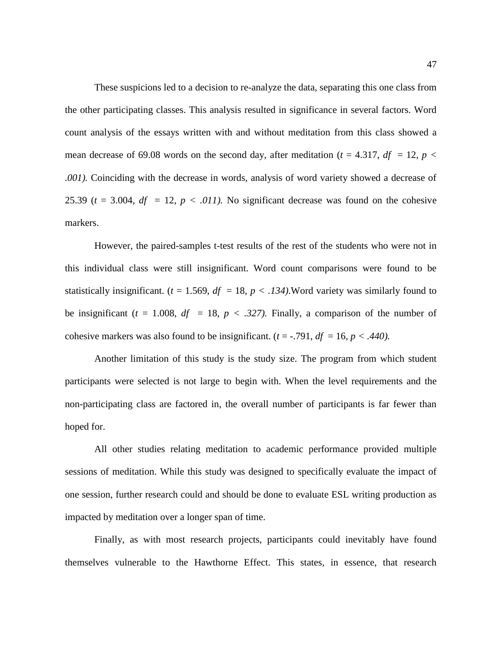These suspicions led to a decision to re-analyze the data, separating this one class from the other participating classes. This analysis resulted in significance in several factors. Word count analysis of the essays written with and without meditation from this class showed a mean decrease of 69.08 words on the second day, after meditation ( $t = 4.317$ ,  $df = 12$ ,  $p <$ *.001).* Coinciding with the decrease in words, analysis of word variety showed a decrease of 25.39 ( $t = 3.004$ ,  $df = 12$ ,  $p < .011$ ). No significant decrease was found on the cohesive markers.

However, the paired-samples t-test results of the rest of the students who were not in this individual class were still insignificant. Word count comparisons were found to be statistically insignificant. ( $t = 1.569$ ,  $df = 18$ ,  $p < .134$ ). Word variety was similarly found to be insignificant ( $t = 1.008$ ,  $df = 18$ ,  $p < .327$ ). Finally, a comparison of the number of cohesive markers was also found to be insignificant.  $(t = -0.791, df = 16, p < .440)$ .

Another limitation of this study is the study size. The program from which student participants were selected is not large to begin with. When the level requirements and the non-participating class are factored in, the overall number of participants is far fewer than hoped for.

All other studies relating meditation to academic performance provided multiple sessions of meditation. While this study was designed to specifically evaluate the impact of one session, further research could and should be done to evaluate ESL writing production as impacted by meditation over a longer span of time.

Finally, as with most research projects, participants could inevitably have found themselves vulnerable to the Hawthorne Effect. This states, in essence, that research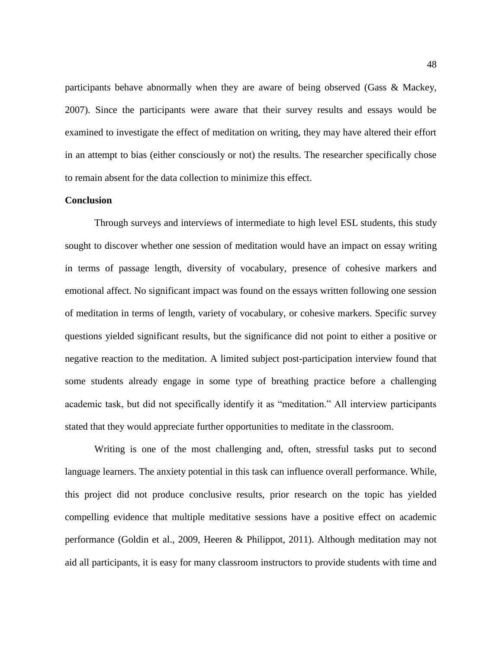participants behave abnormally when they are aware of being observed (Gass & Mackey, 2007). Since the participants were aware that their survey results and essays would be examined to investigate the effect of meditation on writing, they may have altered their effort in an attempt to bias (either consciously or not) the results. The researcher specifically chose to remain absent for the data collection to minimize this effect.

#### **Conclusion**

Through surveys and interviews of intermediate to high level ESL students, this study sought to discover whether one session of meditation would have an impact on essay writing in terms of passage length, diversity of vocabulary, presence of cohesive markers and emotional affect. No significant impact was found on the essays written following one session of meditation in terms of length, variety of vocabulary, or cohesive markers. Specific survey questions yielded significant results, but the significance did not point to either a positive or negative reaction to the meditation. A limited subject post-participation interview found that some students already engage in some type of breathing practice before a challenging academic task, but did not specifically identify it as "meditation." All interview participants stated that they would appreciate further opportunities to meditate in the classroom.

Writing is one of the most challenging and, often, stressful tasks put to second language learners. The anxiety potential in this task can influence overall performance. While, this project did not produce conclusive results, prior research on the topic has yielded compelling evidence that multiple meditative sessions have a positive effect on academic performance (Goldin et al., 2009, Heeren & Philippot, 2011). Although meditation may not aid all participants, it is easy for many classroom instructors to provide students with time and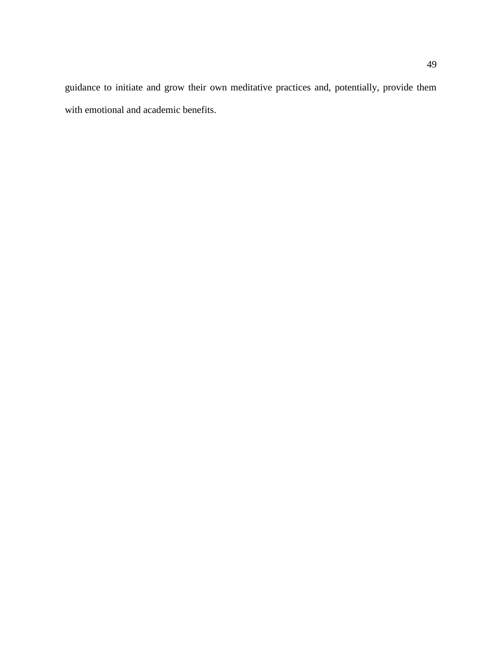guidance to initiate and grow their own meditative practices and, potentially, provide them with emotional and academic benefits.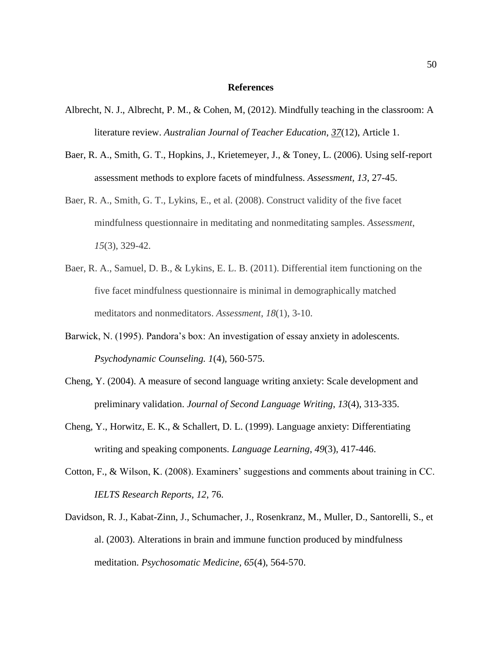#### **References**

- Albrecht, N. J., Albrecht, P. M., & Cohen, M, (2012). Mindfully teaching in the classroom: A literature review. *Australian Journal of Teacher Education*, *37*(12), Article 1.
- Baer, R. A., Smith, G. T., Hopkins, J., Krietemeyer, J., & Toney, L. (2006). Using self-report assessment methods to explore facets of mindfulness. *Assessment, 13*, 27-45.
- Baer, R. A., Smith, G. T., Lykins, E., et al. (2008). Construct validity of the five facet mindfulness questionnaire in meditating and nonmeditating samples. *Assessment*, *15*(3), 329-42.
- Baer, R. A., Samuel, D. B., & Lykins, E. L. B. (2011). Differential item functioning on the five facet mindfulness questionnaire is minimal in demographically matched meditators and nonmeditators. *Assessment*, *18*(1), 3-10.
- Barwick, N. (1995). Pandora's box: An investigation of essay anxiety in adolescents. *Psychodynamic Counseling. 1*(4), 560-575.
- [Cheng, Y. \(2004\). A measure of second language writing anxiety: Scale development and](http://www.bibme.org/) preliminary validation. *[Journal of Second Language Writing](http://www.bibme.org/)*, *13*(4), 313-335.
- [Cheng, Y., Horwitz, E. K., & Schallert, D. L. \(1999\). Language anxiety: Differentiating](http://www.bibme.org/) [writing and speaking components.](http://www.bibme.org/) *Language Learning*, *49*(3), 417-446.
- Cotton, F., & Wilson, K. (2008). Examiners' suggestions and comments about training in CC. *IELTS Research Reports, 12*, 76.
- Davidson, R. J., Kabat-Zinn, J., Schumacher, J., Rosenkranz, M., Muller, D., Santorelli, S., et al. (2003). Alterations in brain and immune function produced by mindfulness meditation. *Psychosomatic Medicine, 65*(4), 564-570.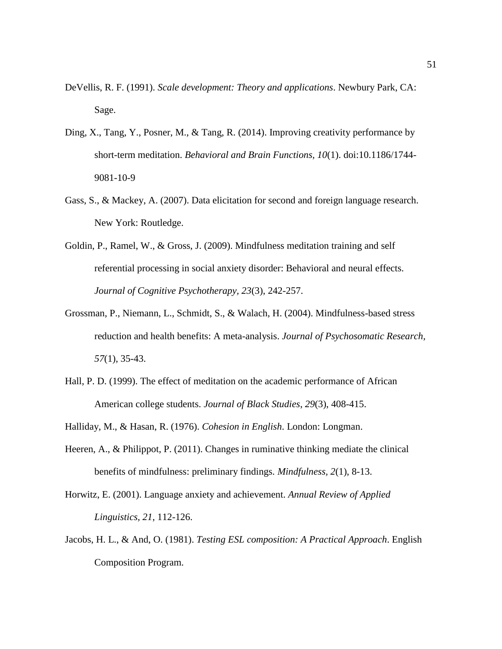- DeVellis, R. F. (1991). *Scale development: Theory and applications*. Newbury Park, CA: Sage.
- Ding, X., Tang, Y., Posner, M., & Tang, R. (2014). Improving creativity performance by short-term meditation. *Behavioral and Brain Functions, 10*(1). doi:10.1186/1744- 9081-10-9
- Gass, S., & Mackey, A. (2007). Data elicitation for second and foreign language research. New York: Routledge.
- Goldin, P., Ramel, W., & Gross, J. (2009). Mindfulness meditation training and self referential processing in social anxiety disorder: Behavioral and neural effects. *Journal of Cognitive Psychotherapy, 23*(3), 242-257.
- Grossman, P., Niemann, L., Schmidt, S., & Walach, H. (2004). Mindfulness-based stress reduction and health benefits: A meta-analysis. *Journal of Psychosomatic Research, 57*(1), 35-43.
- Hall, P. D. (1999). The effect of meditation on the academic performance of African American college students. *Journal of Black Studies*, *29*(3), 408-415.
- Halliday, M., & Hasan, R. (1976). *Cohesion in English*. London: Longman.
- Heeren, A., & Philippot, P. (2011). Changes in ruminative thinking mediate the clinical benefits of mindfulness: preliminary findings. *Mindfulness, 2*(1), 8-13.
- Horwitz, E. (2001). Language anxiety and achievement. *Annual Review of Applied Linguistics, 21*, 112-126.
- Jacobs, H. L., & And, O. (1981). *Testing ESL composition: A Practical Approach*. English Composition Program.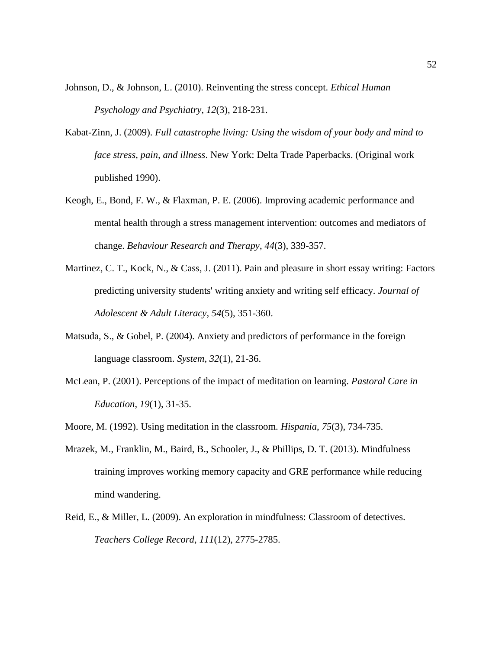- [Johnson, D., & Johnson, L. \(2010\). Reinventing the stress concept.](http://www.bibme.org/) *Ethical Human [Psychology and Psychiatry](http://www.bibme.org/)*, *12*(3), 218-231.
- Kabat-Zinn, J. (2009). *Full catastrophe living: Using the wisdom of your body and mind to face stress, pain, and illness*. New York: Delta Trade Paperbacks. (Original work published 1990).
- Keogh, E., Bond, F. W., & Flaxman, P. E. (2006). Improving academic performance and mental health through a stress management intervention: outcomes and mediators of change. *Behaviour Research and Therapy*, *44*(3), 339-357.
- [Martinez, C. T., Kock, N., & Cass, J. \(2011\). Pain and pleasure in short essay writing:](http://www.bibme.org/) Factors [predicting university students' writing anxiety and writing self efficacy.](http://www.bibme.org/) *Journal of [Adolescent & Adult Literacy](http://www.bibme.org/)*, *54*(5), 351-360.
- Matsuda, S., & Gobel, P. (2004). Anxiety and predictors of performance in the foreign language classroom. *System, 32*(1), 21-36.
- McLean, P. (2001). Perceptions of the impact of meditation on learning. *Pastoral Care in Education, 19*(1), 31-35.
- [Moore, M. \(1992\). Using meditation in the classroom.](http://www.bibme.org/) *Hispania*, *75*(3), 734-735.
- Mrazek, M., Franklin, M., Baird, B., Schooler, J., & Phillips, D. T. (2013). Mindfulness training improves working memory capacity and GRE performance while reducing mind wandering.
- Reid, E., & Miller, L. (2009). An exploration in mindfulness: Classroom of detectives. *Teachers College Record*, *111*(12), 2775-2785.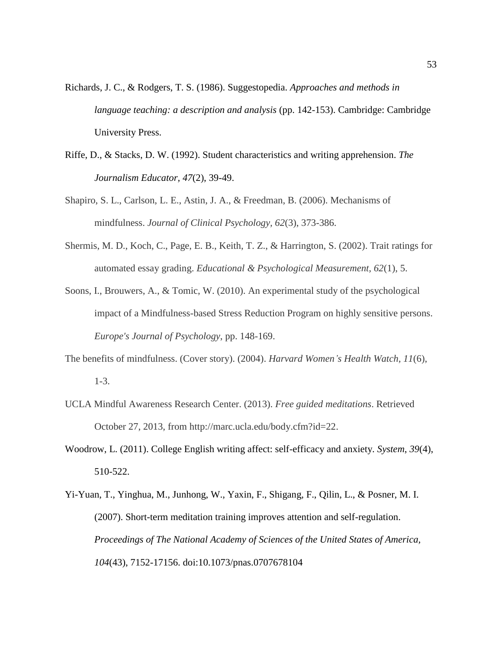- [Richards, J. C., & Rodgers, T. S. \(1986\). Suggestopedia.](http://www.bibme.org/) *Approaches and methods in [language teaching: a description and analysis](http://www.bibme.org/)* (pp. 142-153). Cambridge: Cambridge [University Press.](http://www.bibme.org/)
- Riffe, D., & Stacks, D. W. (1992). Student characteristics and writing apprehension. *The Journalism Educator, 47*(2), 39-49.
- Shapiro, S. L., Carlson, L. E., Astin, J. A., & Freedman, B. (2006). Mechanisms of mindfulness. *Journal of Clinical Psychology, 62*(3), 373-386.
- Shermis, M. D., Koch, C., Page, E. B., Keith, T. Z., & Harrington, S. (2002). Trait ratings for automated essay grading. *Educational & Psychological Measurement, 62*(1), 5.
- Soons, I., Brouwers, A., & Tomic, W. (2010). An experimental study of the psychological impact of a Mindfulness-based Stress Reduction Program on highly sensitive persons. *Europe's Journal of Psychology*, pp. 148-169.
- The benefits of mindfulness. (Cover story). (2004). *Harvard Women's Health Watch, 11*(6), 1-3.
- UCLA Mindful Awareness Research Center. (2013). *Free guided meditations*. Retrieved October 27, 2013, from http://marc.ucla.edu/body.cfm?id=22.
- [Woodrow, L. \(2011\). College English writing affect: self-efficacy and anxiety.](http://www.bibme.org/) *System*, *39*(4), [510-522.](http://www.bibme.org/)
- Yi-Yuan, T., Yinghua, M., Junhong, W., Yaxin, F., Shigang, F., Qilin, L., & Posner, M. I. (2007). Short-term meditation training improves attention and self-regulation. *Proceedings of The National Academy of Sciences of the United States of America, 104*(43), 7152-17156. doi:10.1073/pnas.0707678104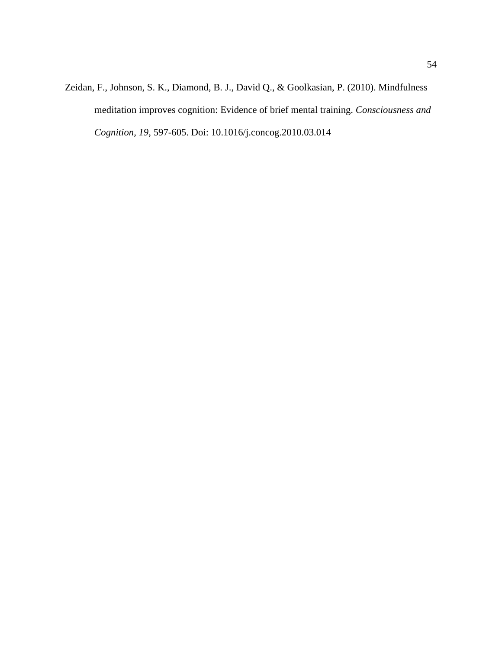Zeidan, F., Johnson, S. K., Diamond, B. J., David Q., & Goolkasian, P. (2010). Mindfulness meditation improves cognition: Evidence of brief mental training. *Consciousness and Cognition, 19*, 597-605. Doi: 10.1016/j.concog.2010.03.014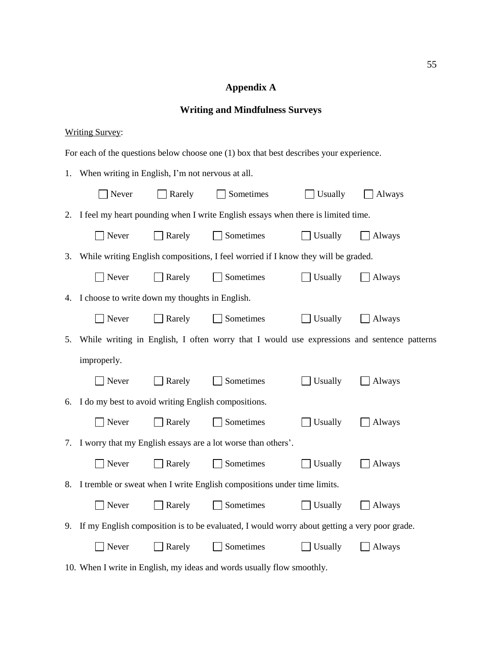## **Appendix A**

## **Writing and Mindfulness Surveys**

### Writing Survey:

For each of the questions below choose one (1) box that best describes your experience.

|    | 1. When writing in English, I'm not nervous at all.    |        |                                                                                                 |         |        |  |  |
|----|--------------------------------------------------------|--------|-------------------------------------------------------------------------------------------------|---------|--------|--|--|
|    | Never                                                  | Rarely | Sometimes                                                                                       | Usually | Always |  |  |
| 2. |                                                        |        | I feel my heart pounding when I write English essays when there is limited time.                |         |        |  |  |
|    | Never                                                  | Rarely | Sometimes                                                                                       | Usually | Always |  |  |
| 3. |                                                        |        | While writing English compositions, I feel worried if I know they will be graded.               |         |        |  |  |
|    | Never                                                  | Rarely | Sometimes                                                                                       | Usually | Always |  |  |
|    | 4. I choose to write down my thoughts in English.      |        |                                                                                                 |         |        |  |  |
|    | Never                                                  | Rarely | Sometimes                                                                                       | Usually | Always |  |  |
|    |                                                        |        | 5. While writing in English, I often worry that I would use expressions and sentence patterns   |         |        |  |  |
|    | improperly.                                            |        |                                                                                                 |         |        |  |  |
|    | Never                                                  | Rarely | Sometimes                                                                                       | Usually | Always |  |  |
|    | 6. I do my best to avoid writing English compositions. |        |                                                                                                 |         |        |  |  |
|    | Never                                                  | Rarely | Sometimes                                                                                       | Usually | Always |  |  |
|    |                                                        |        | 7. I worry that my English essays are a lot worse than others'.                                 |         |        |  |  |
|    | Never                                                  | Rarely | Sometimes                                                                                       | Usually | Always |  |  |
|    |                                                        |        | 8. I tremble or sweat when I write English compositions under time limits.                      |         |        |  |  |
|    | Never                                                  | Rarely | Sometimes                                                                                       | Usually | Always |  |  |
|    |                                                        |        | 9. If my English composition is to be evaluated, I would worry about getting a very poor grade. |         |        |  |  |
|    | Never                                                  | Rarely | Sometimes                                                                                       | Usually | Always |  |  |
|    |                                                        |        |                                                                                                 |         |        |  |  |

10. When I write in English, my ideas and words usually flow smoothly.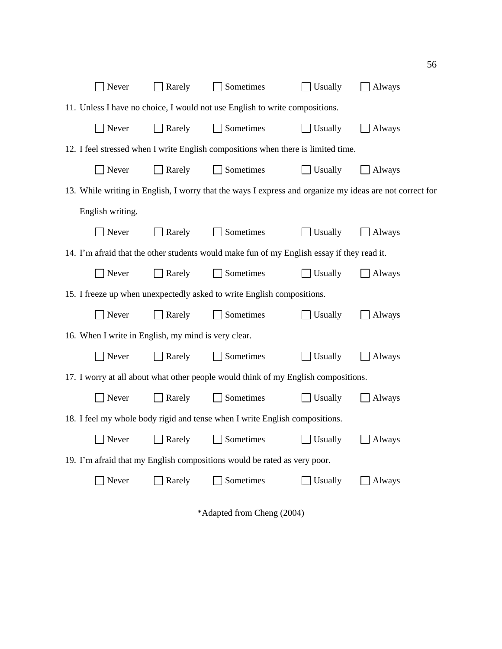| Never                                                                                                   | Rarely                                                                 | Sometimes                                                                                  | Usually | Always |  |  |
|---------------------------------------------------------------------------------------------------------|------------------------------------------------------------------------|--------------------------------------------------------------------------------------------|---------|--------|--|--|
|                                                                                                         |                                                                        | 11. Unless I have no choice, I would not use English to write compositions.                |         |        |  |  |
| Never                                                                                                   | Rarely                                                                 | Sometimes                                                                                  | Usually | Always |  |  |
|                                                                                                         |                                                                        | 12. I feel stressed when I write English compositions when there is limited time.          |         |        |  |  |
| Never                                                                                                   | Rarely                                                                 | Sometimes                                                                                  | Usually | Always |  |  |
| 13. While writing in English, I worry that the ways I express and organize my ideas are not correct for |                                                                        |                                                                                            |         |        |  |  |
| English writing.                                                                                        |                                                                        |                                                                                            |         |        |  |  |
| Never                                                                                                   | Rarely                                                                 | Sometimes                                                                                  | Usually | Always |  |  |
|                                                                                                         |                                                                        | 14. I'm afraid that the other students would make fun of my English essay if they read it. |         |        |  |  |
| Never                                                                                                   | Rarely                                                                 | Sometimes                                                                                  | Usually | Always |  |  |
|                                                                                                         | 15. I freeze up when unexpectedly asked to write English compositions. |                                                                                            |         |        |  |  |
| Never                                                                                                   | Rarely                                                                 | Sometimes                                                                                  | Usually | Always |  |  |
| 16. When I write in English, my mind is very clear.                                                     |                                                                        |                                                                                            |         |        |  |  |
| Never                                                                                                   | Rarely                                                                 | Sometimes                                                                                  | Usually | Always |  |  |
|                                                                                                         |                                                                        | 17. I worry at all about what other people would think of my English compositions.         |         |        |  |  |
| Never                                                                                                   | Rarely                                                                 | Sometimes                                                                                  | Usually | Always |  |  |
|                                                                                                         |                                                                        | 18. I feel my whole body rigid and tense when I write English compositions.                |         |        |  |  |
| Never                                                                                                   | Rarely                                                                 | Sometimes                                                                                  | Usually | Always |  |  |
|                                                                                                         |                                                                        | 19. I'm afraid that my English compositions would be rated as very poor.                   |         |        |  |  |
| Never                                                                                                   | Rarely                                                                 | Sometimes                                                                                  | Usually | Always |  |  |
|                                                                                                         |                                                                        |                                                                                            |         |        |  |  |
| *Adapted from Cheng (2004)                                                                              |                                                                        |                                                                                            |         |        |  |  |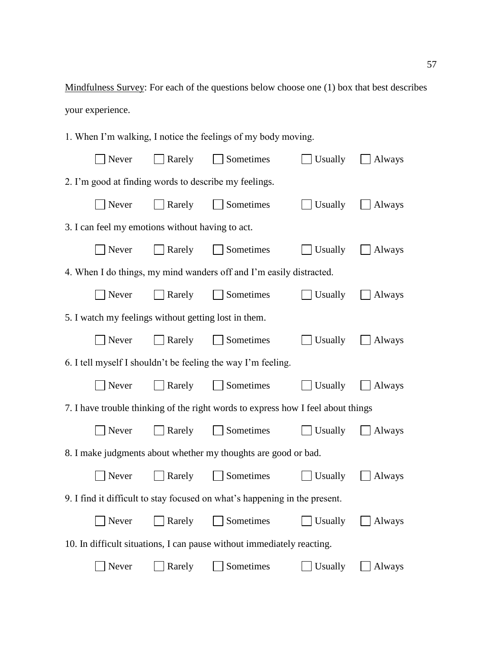Mindfulness Survey: For each of the questions below choose one (1) box that best describes your experience.

1. When I'm walking, I notice the feelings of my body moving.

| Never                                                 | Rarely | Sometimes                                                                        | Usually | <b>Always</b> |
|-------------------------------------------------------|--------|----------------------------------------------------------------------------------|---------|---------------|
| 2. I'm good at finding words to describe my feelings. |        |                                                                                  |         |               |
| Never                                                 | Rarely | Sometimes                                                                        | Usually | Always        |
| 3. I can feel my emotions without having to act.      |        |                                                                                  |         |               |
| Never                                                 | Rarely | Sometimes                                                                        | Usually | Always        |
|                                                       |        | 4. When I do things, my mind wanders off and I'm easily distracted.              |         |               |
| Never                                                 | Rarely | Sometimes                                                                        | Usually | Always        |
| 5. I watch my feelings without getting lost in them.  |        |                                                                                  |         |               |
| Never                                                 | Rarely | Sometimes                                                                        | Usually | <b>Always</b> |
|                                                       |        | 6. I tell myself I shouldn't be feeling the way I'm feeling.                     |         |               |
| Never                                                 | Rarely | Sometimes                                                                        | Usually | <b>Always</b> |
|                                                       |        | 7. I have trouble thinking of the right words to express how I feel about things |         |               |
| Never                                                 | Rarely | Sometimes                                                                        | Usually | Always        |
|                                                       |        | 8. I make judgments about whether my thoughts are good or bad.                   |         |               |
| Never                                                 | Rarely | Sometimes                                                                        | Usually | Always        |
|                                                       |        | 9. I find it difficult to stay focused on what's happening in the present.       |         |               |
| Never                                                 | Rarely | Sometimes                                                                        | Usually | Always        |
|                                                       |        | 10. In difficult situations, I can pause without immediately reacting.           |         |               |
| Never                                                 | Rarely | Sometimes                                                                        | Usually | Always        |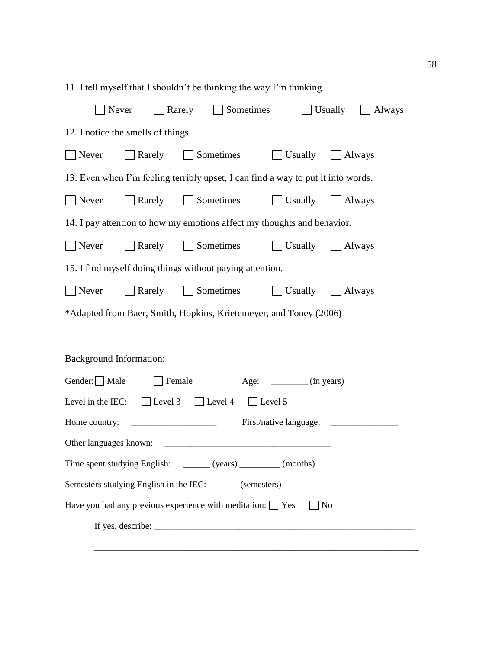| 11. I tell myself that I shouldn't be thinking the way I'm thinking.             |                                                   |                                                                     |                |                           |  |        |  |  |  |  |
|----------------------------------------------------------------------------------|---------------------------------------------------|---------------------------------------------------------------------|----------------|---------------------------|--|--------|--|--|--|--|
|                                                                                  | Rarely<br>Sometimes<br>Usually<br>Never<br>Always |                                                                     |                |                           |  |        |  |  |  |  |
| 12. I notice the smells of things.                                               |                                                   |                                                                     |                |                           |  |        |  |  |  |  |
| Never                                                                            | Rarely                                            | Sometimes                                                           |                | Usually                   |  | Always |  |  |  |  |
| 13. Even when I'm feeling terribly upset, I can find a way to put it into words. |                                                   |                                                                     |                |                           |  |        |  |  |  |  |
| Rarely<br>Sometimes<br>Never<br>Usually<br>Always                                |                                                   |                                                                     |                |                           |  |        |  |  |  |  |
| 14. I pay attention to how my emotions affect my thoughts and behavior.          |                                                   |                                                                     |                |                           |  |        |  |  |  |  |
| Never                                                                            | Rarely                                            | Sometimes                                                           |                | Usually                   |  | Always |  |  |  |  |
|                                                                                  |                                                   | 15. I find myself doing things without paying attention.            |                |                           |  |        |  |  |  |  |
| Never                                                                            | Rarely<br>Sometimes<br>Usually<br>Always          |                                                                     |                |                           |  |        |  |  |  |  |
|                                                                                  |                                                   | *Adapted from Baer, Smith, Hopkins, Krietemeyer, and Toney (2006)   |                |                           |  |        |  |  |  |  |
|                                                                                  |                                                   |                                                                     |                |                           |  |        |  |  |  |  |
| <b>Background Information:</b>                                                   |                                                   |                                                                     |                |                           |  |        |  |  |  |  |
| Gender: Male                                                                     |                                                   | Female                                                              |                | Age: _________ (in years) |  |        |  |  |  |  |
|                                                                                  |                                                   | Level in the IEC: $\Box$ Level 3 $\Box$ Level 4                     | $\Box$ Level 5 |                           |  |        |  |  |  |  |
| Home country:                                                                    |                                                   |                                                                     |                | First/native language:    |  |        |  |  |  |  |
| Other languages known:                                                           |                                                   |                                                                     |                |                           |  |        |  |  |  |  |
| Time spent studying English: _______ (years) ________ (months)                   |                                                   |                                                                     |                |                           |  |        |  |  |  |  |
| Semesters studying English in the IEC: ______ (semesters)                        |                                                   |                                                                     |                |                           |  |        |  |  |  |  |
|                                                                                  |                                                   | Have you had any previous experience with meditation: $\Box$ Yes    |                | $ $ No                    |  |        |  |  |  |  |
|                                                                                  |                                                   | If yes, describe: $\sqrt{\frac{1}{2} \sum_{i=1}^{n} (x_i - x_i)^2}$ |                |                           |  |        |  |  |  |  |
|                                                                                  |                                                   |                                                                     |                |                           |  |        |  |  |  |  |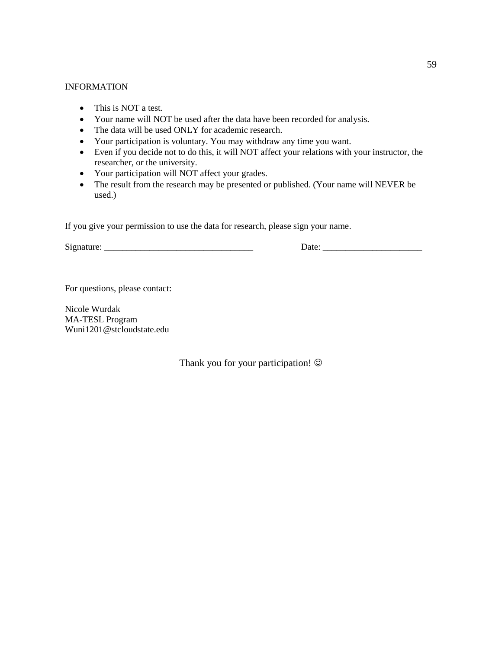#### INFORMATION

- This is NOT a test.
- Your name will NOT be used after the data have been recorded for analysis.
- The data will be used ONLY for academic research.
- Your participation is voluntary. You may withdraw any time you want.
- Even if you decide not to do this, it will NOT affect your relations with your instructor, the researcher, or the university.
- Your participation will NOT affect your grades.
- The result from the research may be presented or published. (Your name will NEVER be used.)

If you give your permission to use the data for research, please sign your name.

Signature: \_\_\_\_\_\_\_\_\_\_\_\_\_\_\_\_\_\_\_\_\_\_\_\_\_\_\_\_\_\_\_\_\_ Date: \_\_\_\_\_\_\_\_\_\_\_\_\_\_\_\_\_\_\_\_\_\_

For questions, please contact:

Nicole Wurdak MA-TESL Program Wuni1201@stcloudstate.edu

Thank you for your participation!  $\odot$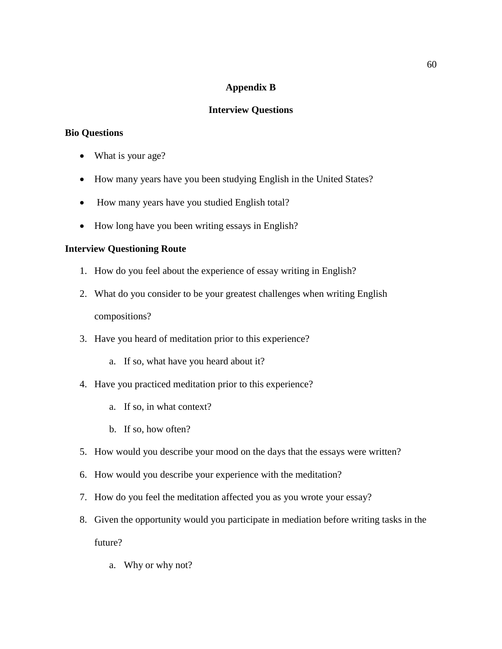#### **Appendix B**

#### **Interview Questions**

#### **Bio Questions**

- What is your age?
- How many years have you been studying English in the United States?
- How many years have you studied English total?
- How long have you been writing essays in English?

#### **Interview Questioning Route**

- 1. How do you feel about the experience of essay writing in English?
- 2. What do you consider to be your greatest challenges when writing English compositions?
- 3. Have you heard of meditation prior to this experience?
	- a. If so, what have you heard about it?
- 4. Have you practiced meditation prior to this experience?
	- a. If so, in what context?
	- b. If so, how often?
- 5. How would you describe your mood on the days that the essays were written?
- 6. How would you describe your experience with the meditation?
- 7. How do you feel the meditation affected you as you wrote your essay?
- 8. Given the opportunity would you participate in mediation before writing tasks in the future?
	- a. Why or why not?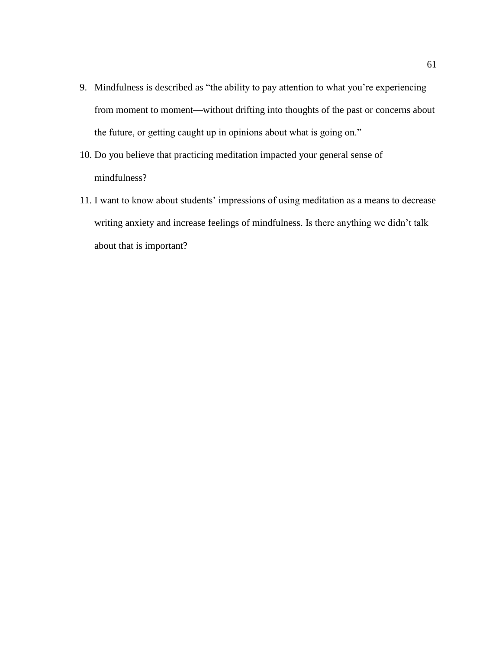- 9. Mindfulness is described as "the ability to pay attention to what you're experiencing from moment to moment—without drifting into thoughts of the past or concerns about the future, or getting caught up in opinions about what is going on."
- 10. Do you believe that practicing meditation impacted your general sense of mindfulness?
- 11. I want to know about students' impressions of using meditation as a means to decrease writing anxiety and increase feelings of mindfulness. Is there anything we didn't talk about that is important?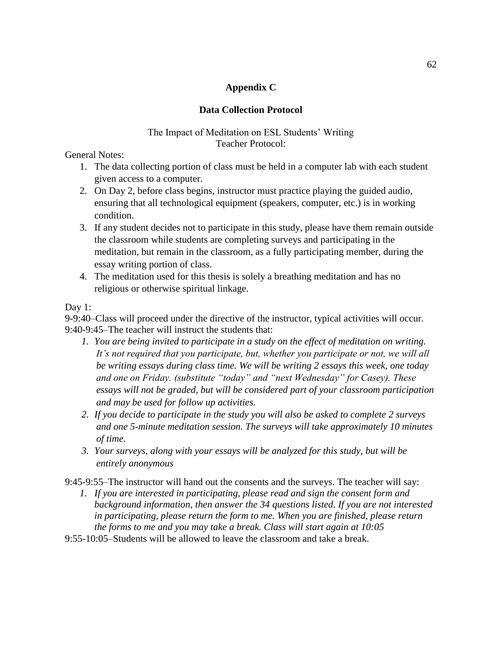#### **Appendix C**

#### **Data Collection Protocol**

#### The Impact of Meditation on ESL Students' Writing Teacher Protocol:

General Notes:

- 1. The data collecting portion of class must be held in a computer lab with each student given access to a computer.
- 2. On Day 2, before class begins, instructor must practice playing the guided audio, ensuring that all technological equipment (speakers, computer, etc.) is in working condition.
- 3. If any student decides not to participate in this study, please have them remain outside the classroom while students are completing surveys and participating in the meditation, but remain in the classroom, as a fully participating member, during the essay writing portion of class.
- 4. The meditation used for this thesis is solely a breathing meditation and has no religious or otherwise spiritual linkage.

Day 1:

9-9:40–Class will proceed under the directive of the instructor, typical activities will occur. 9:40-9:45–The teacher will instruct the students that:

- *1. You are being invited to participate in a study on the effect of meditation on writing. It's not required that you participate, but, whether you participate or not, we will all be writing essays during class time. We will be writing 2 essays this week, one today and one on Friday. (substitute "today" and "next Wednesday" for Casey). These essays will not be graded, but will be considered part of your classroom participation and may be used for follow up activities.*
- *2. If you decide to participate in the study you will also be asked to complete 2 surveys and one 5-minute meditation session. The surveys will take approximately 10 minutes of time.*
- *3. Your surveys, along with your essays will be analyzed for this study, but will be entirely anonymous*

9:45-9:55–The instructor will hand out the consents and the surveys. The teacher will say:

- *1. If you are interested in participating, please read and sign the consent form and background information, then answer the 34 questions listed. If you are not interested in participating, please return the form to me. When you are finished, please return the forms to me and you may take a break. Class will start again at 10:05*
- 9:55-10:05–Students will be allowed to leave the classroom and take a break.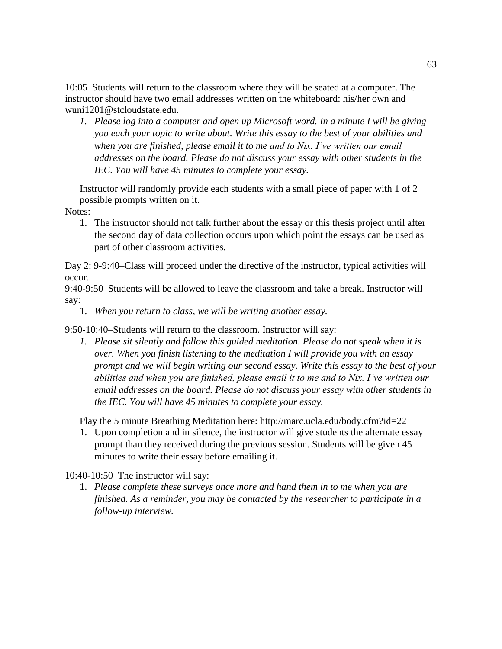10:05–Students will return to the classroom where they will be seated at a computer. The instructor should have two email addresses written on the whiteboard: his/her own and [wuni1201@stcloudstate.edu.](mailto:wuni1201@stcloudstate.edu)

*1. Please log into a computer and open up Microsoft word. In a minute I will be giving you each your topic to write about. Write this essay to the best of your abilities and when you are finished, please email it to me and to Nix. I've written our email addresses on the board. Please do not discuss your essay with other students in the IEC. You will have 45 minutes to complete your essay.* 

Instructor will randomly provide each students with a small piece of paper with 1 of 2 possible prompts written on it.

Notes:

1. The instructor should not talk further about the essay or this thesis project until after the second day of data collection occurs upon which point the essays can be used as part of other classroom activities.

Day 2: 9-9:40–Class will proceed under the directive of the instructor, typical activities will occur.

9:40-9:50–Students will be allowed to leave the classroom and take a break. Instructor will say:

1. *When you return to class, we will be writing another essay.*

9:50-10:40–Students will return to the classroom. Instructor will say:

*1. Please sit silently and follow this guided meditation. Please do not speak when it is over. When you finish listening to the meditation I will provide you with an essay prompt and we will begin writing our second essay. Write this essay to the best of your abilities and when you are finished, please email it to me and to Nix. I've written our email addresses on the board. Please do not discuss your essay with other students in the IEC. You will have 45 minutes to complete your essay.* 

Play the 5 minute Breathing Meditation here:<http://marc.ucla.edu/body.cfm?id=22>

1. Upon completion and in silence, the instructor will give students the alternate essay prompt than they received during the previous session. Students will be given 45 minutes to write their essay before emailing it.

10:40-10:50–The instructor will say:

1. *Please complete these surveys once more and hand them in to me when you are finished. As a reminder, you may be contacted by the researcher to participate in a follow-up interview.*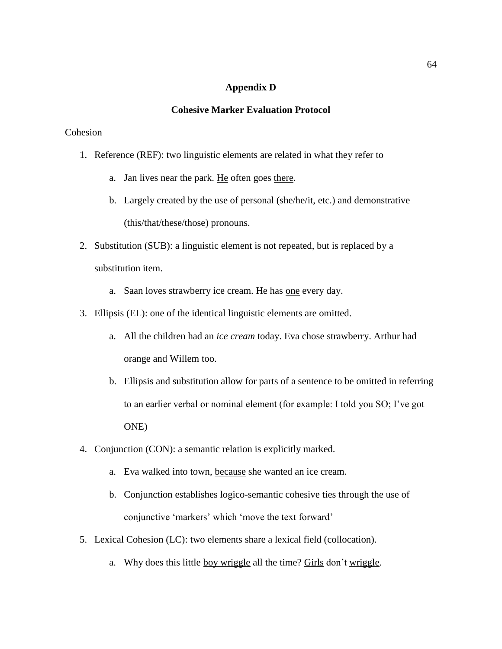#### **Appendix D**

#### **Cohesive Marker Evaluation Protocol**

#### Cohesion

- 1. Reference (REF): two linguistic elements are related in what they refer to
	- a. Jan lives near the park. He often goes there.
	- b. Largely created by the use of personal (she/he/it, etc.) and demonstrative (this/that/these/those) pronouns.
- 2. Substitution (SUB): a linguistic element is not repeated, but is replaced by a substitution item.
	- a. Saan loves strawberry ice cream. He has one every day.
- 3. Ellipsis (EL): one of the identical linguistic elements are omitted.
	- a. All the children had an *ice cream* today. Eva chose strawberry. Arthur had orange and Willem too.
	- b. Ellipsis and substitution allow for parts of a sentence to be omitted in referring to an earlier verbal or nominal element (for example: I told you SO; I've got ONE)
- 4. Conjunction (CON): a semantic relation is explicitly marked.
	- a. Eva walked into town, because she wanted an ice cream.
	- b. Conjunction establishes logico-semantic cohesive ties through the use of conjunctive 'markers' which 'move the text forward'
- 5. Lexical Cohesion (LC): two elements share a lexical field (collocation).
	- a. Why does this little boy wriggle all the time? Girls don't wriggle.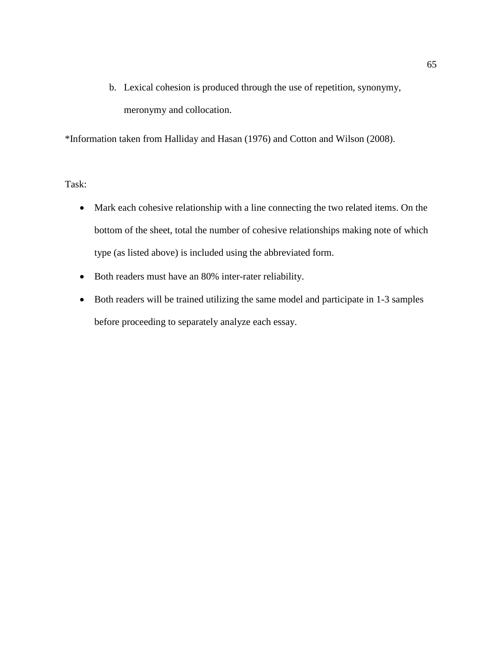b. Lexical cohesion is produced through the use of repetition, synonymy, meronymy and collocation.

\*Information taken from Halliday and Hasan (1976) and Cotton and Wilson (2008).

Task:

- Mark each cohesive relationship with a line connecting the two related items. On the bottom of the sheet, total the number of cohesive relationships making note of which type (as listed above) is included using the abbreviated form.
- Both readers must have an 80% inter-rater reliability.
- Both readers will be trained utilizing the same model and participate in 1-3 samples before proceeding to separately analyze each essay.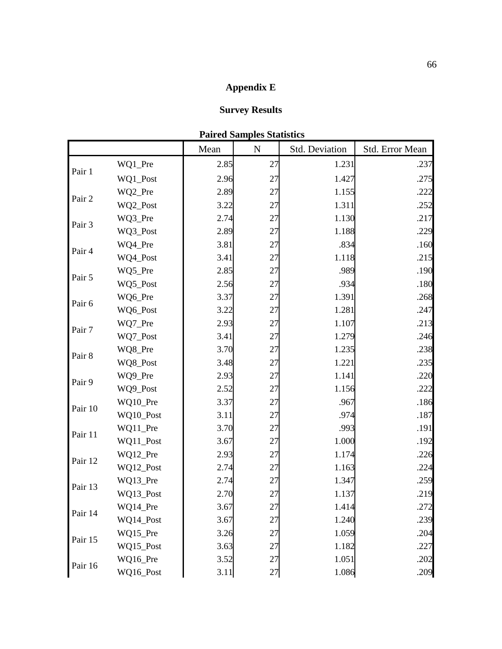## **Appendix E**

## **Survey Results**

| <b>Paired Samples Statistics</b> |  |
|----------------------------------|--|
|----------------------------------|--|

|         |           | Mean | $\mathbf N$ | Std. Deviation | Std. Error Mean |
|---------|-----------|------|-------------|----------------|-----------------|
|         | WQ1_Pre   | 2.85 | 27          | 1.231          | .237            |
| Pair 1  | WQ1_Post  | 2.96 | 27          | 1.427          | .275            |
|         | WQ2_Pre   | 2.89 | 27          | 1.155          | .222            |
| Pair 2  | WQ2_Post  | 3.22 | 27          | 1.311          | .252            |
|         | WQ3_Pre   | 2.74 | 27          | 1.130          | .217            |
| Pair 3  | WQ3_Post  | 2.89 | 27          | 1.188          | .229            |
|         | WQ4_Pre   | 3.81 | 27          | .834           | .160            |
| Pair 4  | WQ4_Post  | 3.41 | 27          | 1.118          | .215            |
|         | WQ5_Pre   | 2.85 | 27          | .989           | .190            |
| Pair 5  | WQ5_Post  | 2.56 | 27          | .934           | .180            |
|         | WQ6_Pre   | 3.37 | 27          | 1.391          | .268            |
| Pair 6  | WQ6_Post  | 3.22 | 27          | 1.281          | .247            |
| Pair 7  | WQ7_Pre   | 2.93 | 27          | 1.107          | .213            |
|         | WQ7_Post  | 3.41 | 27          | 1.279          | .246            |
| Pair 8  | WQ8_Pre   | 3.70 | 27          | 1.235          | .238            |
|         | WQ8_Post  | 3.48 | 27          | 1.221          | .235            |
|         | WQ9_Pre   | 2.93 | 27          | 1.141          | .220            |
| Pair 9  | WQ9_Post  | 2.52 | 27          | 1.156          | .222            |
| Pair 10 | WQ10_Pre  | 3.37 | 27          | .967           | .186            |
|         | WQ10_Post | 3.11 | 27          | .974           | .187            |
| Pair 11 | WQ11_Pre  | 3.70 | 27          | .993           | .191            |
|         | WQ11_Post | 3.67 | 27          | 1.000          | .192            |
| Pair 12 | WQ12_Pre  | 2.93 | 27          | 1.174          | .226            |
|         | WQ12_Post | 2.74 | 27          | 1.163          | .224            |
| Pair 13 | WQ13_Pre  | 2.74 | 27          | 1.347          | .259            |
|         | WQ13_Post | 2.70 | 27          | 1.137          | .219            |
| Pair 14 | WQ14_Pre  | 3.67 | 27          | 1.414          | .272            |
|         | WQ14_Post | 3.67 | 27          | 1.240          | .239            |
| Pair 15 | WQ15_Pre  | 3.26 | 27          | 1.059          | .204            |
|         | WQ15_Post | 3.63 | 27          | 1.182          | .227            |
| Pair 16 | WQ16_Pre  | 3.52 | 27          | 1.051          | .202            |
|         | WQ16_Post | 3.11 | 27          | 1.086          | .209            |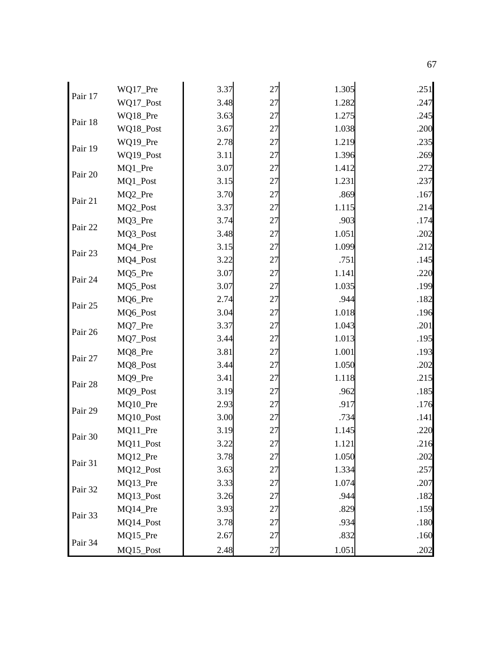| Pair 17 | WQ17_Pre  | 3.37 | 27 | 1.305 | .251 |
|---------|-----------|------|----|-------|------|
|         | WQ17_Post | 3.48 | 27 | 1.282 | .247 |
|         | WQ18_Pre  | 3.63 | 27 | 1.275 | .245 |
| Pair 18 | WQ18_Post | 3.67 | 27 | 1.038 | .200 |
|         | WQ19_Pre  | 2.78 | 27 | 1.219 | .235 |
| Pair 19 | WQ19_Post | 3.11 | 27 | 1.396 | .269 |
| Pair 20 | MQ1_Pre   | 3.07 | 27 | 1.412 | .272 |
|         | MQ1_Post  | 3.15 | 27 | 1.231 | .237 |
| Pair 21 | MQ2_Pre   | 3.70 | 27 | .869  | .167 |
|         | MQ2_Post  | 3.37 | 27 | 1.115 | .214 |
|         | MQ3_Pre   | 3.74 | 27 | .903  | .174 |
| Pair 22 | MQ3_Post  | 3.48 | 27 | 1.051 | .202 |
| Pair 23 | MQ4_Pre   | 3.15 | 27 | 1.099 | .212 |
|         | MQ4_Post  | 3.22 | 27 | .751  | .145 |
|         | MQ5_Pre   | 3.07 | 27 | 1.141 | .220 |
| Pair 24 | MQ5_Post  | 3.07 | 27 | 1.035 | .199 |
| Pair 25 | MQ6_Pre   | 2.74 | 27 | .944  | .182 |
|         | MQ6_Post  | 3.04 | 27 | 1.018 | .196 |
|         | MQ7_Pre   | 3.37 | 27 | 1.043 | .201 |
| Pair 26 | MQ7_Post  | 3.44 | 27 | 1.013 | .195 |
| Pair 27 | MQ8_Pre   | 3.81 | 27 | 1.001 | .193 |
|         | MQ8_Post  | 3.44 | 27 | 1.050 | .202 |
| Pair 28 | MQ9_Pre   | 3.41 | 27 | 1.118 | .215 |
|         | MQ9_Post  | 3.19 | 27 | .962  | .185 |
| Pair 29 | MQ10_Pre  | 2.93 | 27 | .917  | .176 |
|         | MQ10_Post | 3.00 | 27 | .734  | .141 |
| Pair 30 | MQ11_Pre  | 3.19 | 27 | 1.145 | .220 |
|         | MQ11_Post | 3.22 | 27 | 1.121 | .216 |
| Pair 31 | MQ12_Pre  | 3.78 | 27 | 1.050 | .202 |
|         | MQ12_Post | 3.63 | 27 | 1.334 | .257 |
| Pair 32 | MQ13_Pre  | 3.33 | 27 | 1.074 | .207 |
|         | MQ13_Post | 3.26 | 27 | .944  | .182 |
|         | MQ14_Pre  | 3.93 | 27 | .829  | .159 |
| Pair 33 | MQ14_Post | 3.78 | 27 | .934  | .180 |
|         | MQ15_Pre  | 2.67 | 27 | .832  | .160 |
| Pair 34 | MQ15_Post | 2.48 | 27 | 1.051 | .202 |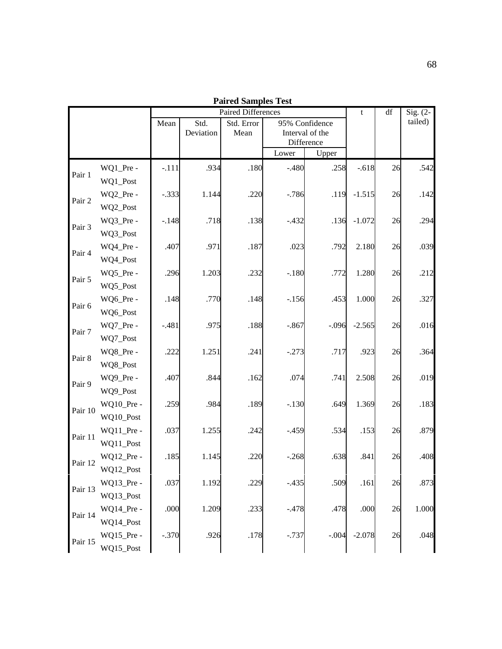| Paired Samples Test<br>Paired Differences |                         |         |           |            |          |                               |          |    |         |
|-------------------------------------------|-------------------------|---------|-----------|------------|----------|-------------------------------|----------|----|---------|
|                                           |                         | t       | df        | Sig. $(2-$ |          |                               |          |    |         |
|                                           |                         | Mean    | Std.      | Std. Error |          | 95% Confidence                |          |    | tailed) |
|                                           |                         |         | Deviation | Mean       |          | Interval of the<br>Difference |          |    |         |
|                                           |                         |         |           |            | Lower    | Upper                         |          |    |         |
|                                           | WQ1_Pre -               | $-.111$ | .934      | .180       | $-.480$  | .258                          | $-.618$  | 26 | .542    |
| Pair 1                                    | WQ1_Post                |         |           |            |          |                               |          |    |         |
| Pair 2                                    | WQ2_Pre -               | $-.333$ | 1.144     | .220       | $-.786$  | .119                          | $-1.515$ | 26 | .142    |
|                                           | WQ2_Post                |         |           |            |          |                               |          |    |         |
| Pair 3                                    | WQ3_Pre -               | $-.148$ | .718      | .138       | $-.432$  | .136                          | $-1.072$ | 26 | .294    |
|                                           | WQ3_Post                |         |           |            |          |                               |          |    |         |
| Pair 4                                    | WQ4_Pre -               | .407    | .971      | .187       | .023     | .792                          | 2.180    | 26 | .039    |
|                                           | WQ4_Post                |         |           |            |          |                               |          |    |         |
| Pair 5                                    | WQ5_Pre -               | .296    | 1.203     | .232       | $-.180$  | .772                          | 1.280    | 26 | .212    |
|                                           | WQ5_Post                |         |           |            |          |                               |          |    |         |
| Pair 6                                    | WQ6_Pre -               | .148    | .770      | .148       | $-156$   | .453                          | 1.000    | 26 | .327    |
|                                           | WQ6_Post                |         |           |            |          |                               |          |    |         |
| Pair 7                                    | WQ7_Pre -               | $-.481$ | .975      | .188       | $-.867$  | $-.096$                       | $-2.565$ | 26 | .016    |
|                                           | WQ7_Post                |         |           |            |          |                               |          |    |         |
| Pair 8                                    | WQ8_Pre -               | .222    | 1.251     | .241       | $-.273$  | .717                          | .923     | 26 | .364    |
|                                           | WQ8_Post                |         |           |            |          |                               |          |    |         |
| Pair 9                                    | WQ9_Pre -               | .407    | .844      | .162       | .074     | .741                          | 2.508    | 26 | .019    |
|                                           | WQ9_Post                |         |           |            |          |                               |          |    |         |
| Pair 10                                   | WQ10_Pre -              | .259    | .984      | .189       | $-.130$  | .649                          | 1.369    | 26 | .183    |
|                                           | WQ10_Post<br>WQ11_Pre - | .037    | 1.255     | .242       | $-0.459$ | .534                          | .153     | 26 | .879    |
| Pair 11                                   | WQ11_Post               |         |           |            |          |                               |          |    |         |
|                                           | WQ12_Pre -              | .185    | 1.145     | .220       | $-.268$  | .638                          | .841     | 26 | .408    |
| Pair 12                                   | WQ12_Post               |         |           |            |          |                               |          |    |         |
|                                           | WQ13_Pre -              | .037    | 1.192     | .229       | $-.435$  | .509                          | .161     | 26 | .873    |
| Pair 13                                   | WQ13_Post               |         |           |            |          |                               |          |    |         |
|                                           | WQ14_Pre -              | .000    | 1.209     | .233       | $-.478$  | .478                          | .000     | 26 | 1.000   |
| Pair 14                                   | WQ14_Post               |         |           |            |          |                               |          |    |         |
|                                           | WQ15_Pre -              | $-.370$ | .926      | .178       | $-.737$  | $-.004$                       | $-2.078$ | 26 | .048    |
| Pair 15                                   | WQ15_Post               |         |           |            |          |                               |          |    |         |

**Paired Samples Test**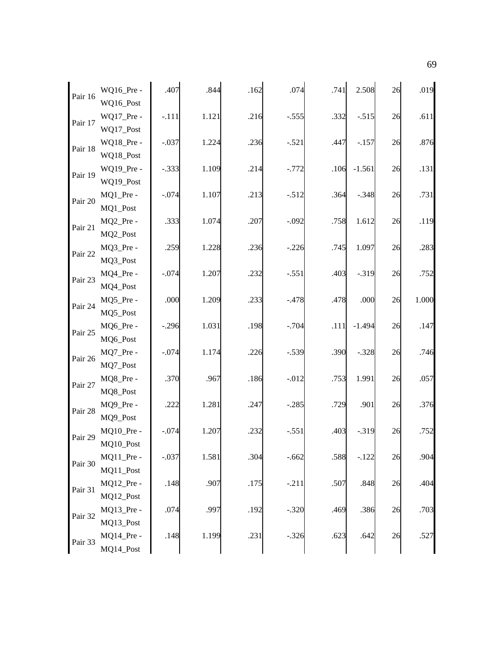| Pair 16 | WQ16_Pre -<br>WQ16_Post              | .407    | .844  | .162 | .074     | .741 | 2.508    | 26 | .019  |
|---------|--------------------------------------|---------|-------|------|----------|------|----------|----|-------|
| Pair 17 | WQ17_Pre -                           | $-.111$ | 1.121 | .216 | $-.555$  | .332 | $-.515$  | 26 | .611  |
| Pair 18 | WQ17_Post<br>WQ18_Pre -              | $-.037$ | 1.224 | .236 | $-.521$  | .447 | $-157$   | 26 | .876  |
| Pair 19 | WQ18_Post<br>WQ19_Pre -<br>WQ19_Post | $-.333$ | 1.109 | .214 | $-.772$  | .106 | $-1.561$ | 26 | .131  |
| Pair 20 | MQ1_Pre -<br>MQ1_Post                | $-.074$ | 1.107 | .213 | $-.512$  | .364 | $-.348$  | 26 | .731  |
| Pair 21 | MQ2_Pre -<br>MQ2_Post                | .333    | 1.074 | .207 | $-.092$  | .758 | 1.612    | 26 | .119  |
| Pair 22 | MQ3_Pre -<br>MQ3_Post                | .259    | 1.228 | .236 | $-.226$  | .745 | 1.097    | 26 | .283  |
| Pair 23 | MQ4_Pre -<br>MQ4_Post                | $-.074$ | 1.207 | .232 | $-.551$  | .403 | $-.319$  | 26 | .752  |
| Pair 24 | MQ5_Pre -<br>MQ5_Post                | .000    | 1.209 | .233 | $-.478$  | .478 | .000     | 26 | 1.000 |
| Pair 25 | MQ6_Pre -<br>MQ6_Post                | $-.296$ | 1.031 | .198 | $-.704$  | .111 | $-1.494$ | 26 | .147  |
| Pair 26 | MQ7_Pre -<br>MQ7_Post                | $-.074$ | 1.174 | .226 | $-.539$  | .390 | $-.328$  | 26 | .746  |
| Pair 27 | MQ8_Pre -<br>MQ8_Post                | .370    | .967  | .186 | $-0.012$ | .753 | 1.991    | 26 | .057  |
| Pair 28 | MQ9_Pre -<br>MQ9_Post                | .222    | 1.281 | .247 | $-.285$  | .729 | .901     | 26 | .376  |
| Pair 29 | MQ10_Pre -<br>MQ10_Post              | $-.074$ | 1.207 | .232 | $-.551$  | .403 | $-.319$  | 26 | .752  |
| Pair 30 | MQ11_Pre -<br>MQ11_Post              | $-.037$ | 1.581 | .304 | $-.662$  | .588 | $-.122$  | 26 | .904  |
| Pair 31 | MQ12_Pre -<br>MQ12_Post              | .148    | .907  | .175 | $-.211$  | .507 | .848     | 26 | .404  |
| Pair 32 | MQ13_Pre -<br>MQ13_Post              | .074    | .997  | .192 | $-.320$  | .469 | .386     | 26 | .703  |
| Pair 33 | MQ14_Pre -<br>MQ14_Post              | .148    | 1.199 | .231 | $-.326$  | .623 | .642     | 26 | .527  |

69